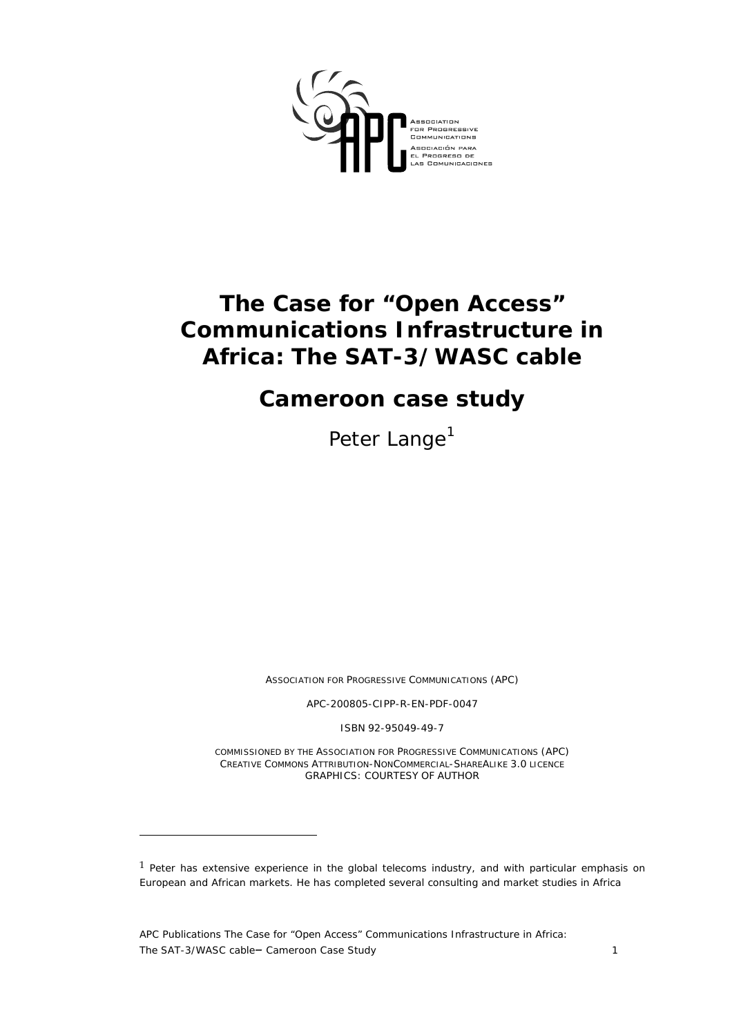

# **The Case for "Open Access" Communications Infrastructure in Africa: The SAT-3/WASC cable**

## **Cameroon case study**

Peter Lange<sup>[1](#page-0-0)</sup>

*ASSOCIATION FOR PROGRESSIVE COMMUNICATIONS (APC)* 

*APC-200805-CIPP-R-EN-PDF-0047* 

*ISBN 92-95049-49-7* 

*COMMISSIONED BY THE ASSOCIATION FOR PROGRESSIVE COMMUNICATIONS (APC) CREATIVE COMMONS ATTRIBUTION-NONCOMMERCIAL-SHAREALIKE 3.0 LICENCE GRAPHICS: COURTESY OF AUTHOR* 

*APC Publications* The Case for "Open Access" Communications Infrastructure in Africa: The SAT-3/WASC cable– Cameroon Case Study 1

 $\overline{a}$ 

<span id="page-0-0"></span> $1$  Peter has extensive experience in the global telecoms industry, and with particular emphasis on European and African markets. He has completed several consulting and market studies in Africa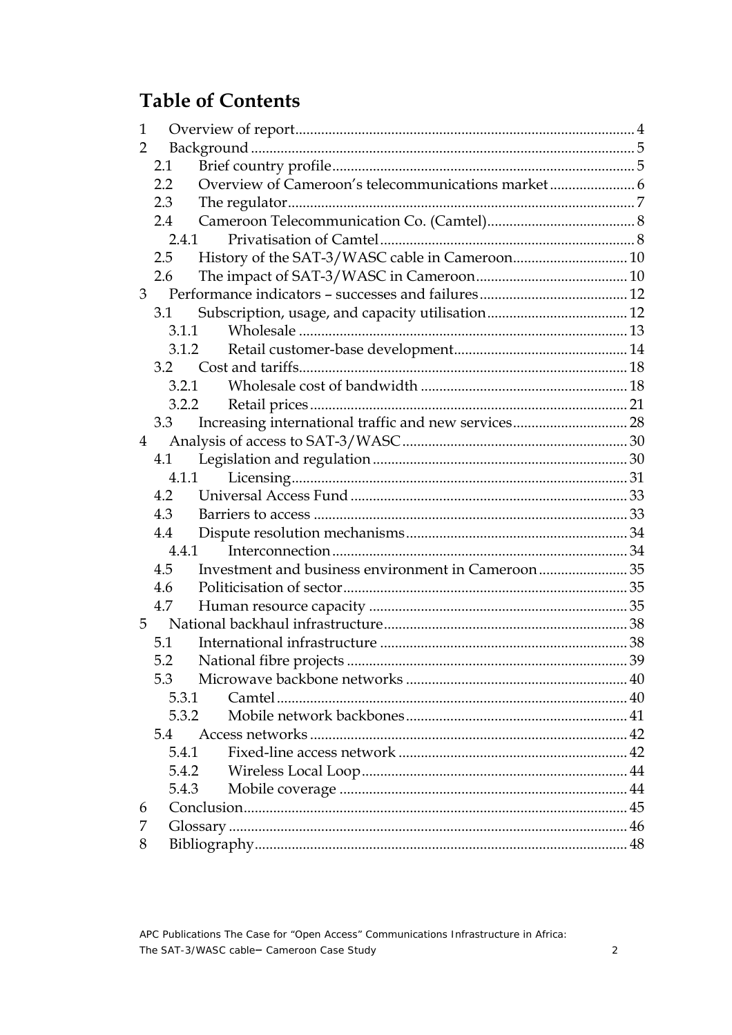## **Table of Contents**

| 1              |                                                          |  |  |  |
|----------------|----------------------------------------------------------|--|--|--|
| $\overline{2}$ |                                                          |  |  |  |
|                | 2.1                                                      |  |  |  |
|                | 2.2                                                      |  |  |  |
|                | 2.3                                                      |  |  |  |
|                | 2.4                                                      |  |  |  |
|                | 2.4.1                                                    |  |  |  |
|                | 2.5                                                      |  |  |  |
|                | 2.6                                                      |  |  |  |
|                | 3 <sup>7</sup>                                           |  |  |  |
|                | 3.1                                                      |  |  |  |
|                | 3.1.1                                                    |  |  |  |
|                | 3.1.2                                                    |  |  |  |
|                | 3.2                                                      |  |  |  |
|                | 3.2.1                                                    |  |  |  |
|                | 3.2.2                                                    |  |  |  |
|                | 3.3                                                      |  |  |  |
| $\overline{4}$ |                                                          |  |  |  |
|                | 4.1                                                      |  |  |  |
|                | 4.1.1                                                    |  |  |  |
|                | 4.2                                                      |  |  |  |
|                | 4.3                                                      |  |  |  |
|                | 4.4                                                      |  |  |  |
|                | 4.4.1                                                    |  |  |  |
|                | Investment and business environment in Cameroon35<br>4.5 |  |  |  |
|                | 4.6                                                      |  |  |  |
|                | 4.7                                                      |  |  |  |
|                | 5                                                        |  |  |  |
|                | 5.1                                                      |  |  |  |
|                | 5.2                                                      |  |  |  |
|                | 5.3                                                      |  |  |  |
|                | Camtel<br>5.3.1                                          |  |  |  |
|                | 5.3.2                                                    |  |  |  |
|                | 5.4                                                      |  |  |  |
|                | 5.4.1                                                    |  |  |  |
|                | 5.4.2                                                    |  |  |  |
|                | 5.4.3                                                    |  |  |  |
| 6              |                                                          |  |  |  |
| 7              |                                                          |  |  |  |
| 8              |                                                          |  |  |  |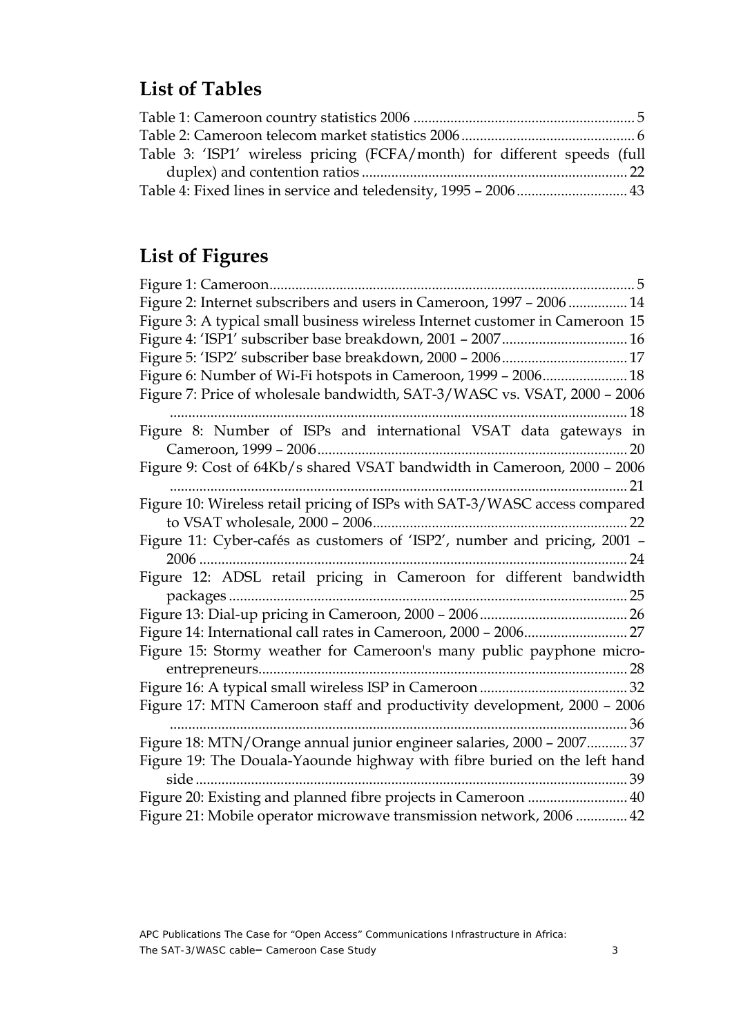## **List of Tables**

| Table 3: 'ISP1' wireless pricing (FCFA/month) for different speeds (full |  |
|--------------------------------------------------------------------------|--|
|                                                                          |  |
| Table 4: Fixed lines in service and teledensity, 1995 - 2006 43          |  |

# **List of Figures**

| Figure 2: Internet subscribers and users in Cameroon, 1997 - 2006 14                                                                  |
|---------------------------------------------------------------------------------------------------------------------------------------|
| Figure 3: A typical small business wireless Internet customer in Cameroon 15                                                          |
| Figure 4: 'ISP1' subscriber base breakdown, 2001 - 2007 16                                                                            |
| Figure 5: 'ISP2' subscriber base breakdown, 2000 - 2006 17                                                                            |
| Figure 6: Number of Wi-Fi hotspots in Cameroon, 1999 - 2006 18                                                                        |
| Figure 7: Price of wholesale bandwidth, SAT-3/WASC vs. VSAT, 2000 - 2006                                                              |
|                                                                                                                                       |
| Figure 8: Number of ISPs and international VSAT data gateways in                                                                      |
| Figure 9: Cost of 64Kb/s shared VSAT bandwidth in Cameroon, 2000 - 2006                                                               |
|                                                                                                                                       |
| Figure 10: Wireless retail pricing of ISPs with SAT-3/WASC access compared                                                            |
|                                                                                                                                       |
| Figure 11: Cyber-cafés as customers of 'ISP2', number and pricing, 2001 -                                                             |
|                                                                                                                                       |
| Figure 12: ADSL retail pricing in Cameroon for different bandwidth                                                                    |
|                                                                                                                                       |
|                                                                                                                                       |
|                                                                                                                                       |
| Figure 15: Stormy weather for Cameroon's many public payphone micro-                                                                  |
|                                                                                                                                       |
|                                                                                                                                       |
| Figure 17: MTN Cameroon staff and productivity development, 2000 - 2006                                                               |
|                                                                                                                                       |
| Figure 18: MTN/Orange annual junior engineer salaries, 2000 - 2007 37                                                                 |
|                                                                                                                                       |
| Figure 19: The Douala-Yaounde highway with fibre buried on the left hand                                                              |
|                                                                                                                                       |
| Figure 20: Existing and planned fibre projects in Cameroon  40<br>Figure 21: Mobile operator microwave transmission network, 2006  42 |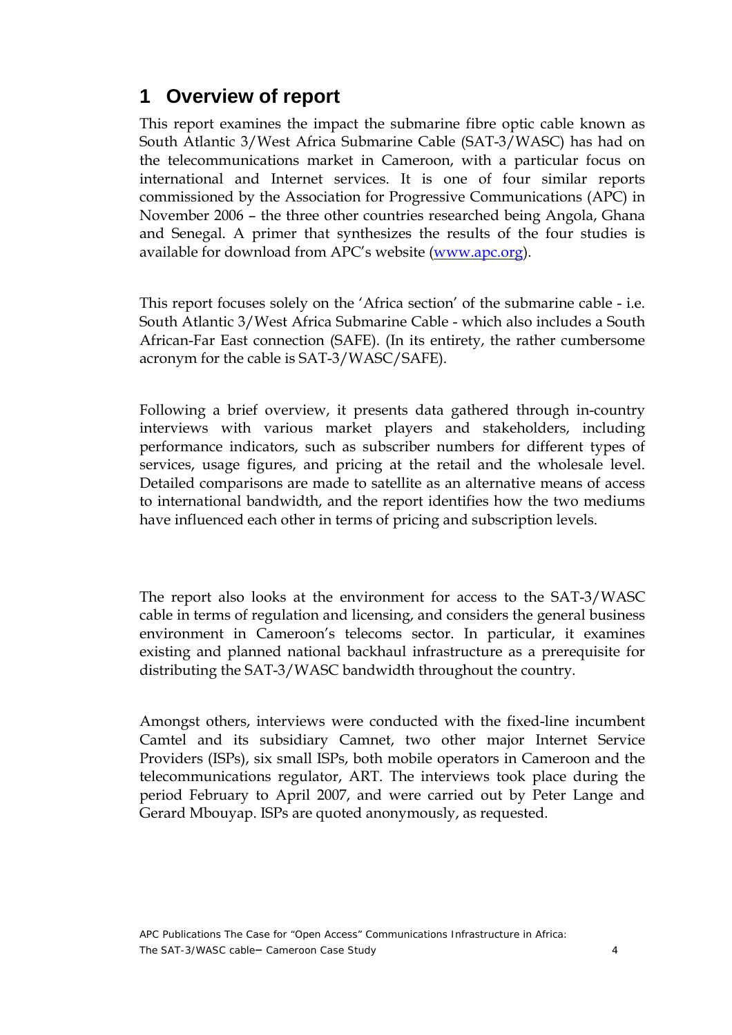## <span id="page-3-0"></span>**1 Overview of report**

This report examines the impact the submarine fibre optic cable known as South Atlantic 3/West Africa Submarine Cable (SAT-3/WASC) has had on the telecommunications market in Cameroon, with a particular focus on international and Internet services. It is one of four similar reports commissioned by the Association for Progressive Communications (APC) in November 2006 – the three other countries researched being Angola, Ghana and Senegal. A primer that synthesizes the results of the four studies is available for download from APC's website ([www.apc.org](http://www.apc.org)).

This report focuses solely on the 'Africa section' of the submarine cable - i.e. South Atlantic 3/West Africa Submarine Cable - which also includes a South African-Far East connection (SAFE). (In its entirety, the rather cumbersome acronym for the cable is SAT-3/WASC/SAFE).

Following a brief overview, it presents data gathered through in-country interviews with various market players and stakeholders, including performance indicators, such as subscriber numbers for different types of services, usage figures, and pricing at the retail and the wholesale level. Detailed comparisons are made to satellite as an alternative means of access to international bandwidth, and the report identifies how the two mediums have influenced each other in terms of pricing and subscription levels.

The report also looks at the environment for access to the SAT-3/WASC cable in terms of regulation and licensing, and considers the general business environment in Cameroon's telecoms sector. In particular, it examines existing and planned national backhaul infrastructure as a prerequisite for distributing the SAT-3/WASC bandwidth throughout the country.

Amongst others, interviews were conducted with the fixed-line incumbent Camtel and its subsidiary Camnet, two other major Internet Service Providers (ISPs), six small ISPs, both mobile operators in Cameroon and the telecommunications regulator, ART. The interviews took place during the period February to April 2007, and were carried out by Peter Lange and Gerard Mbouyap. ISPs are quoted anonymously, as requested.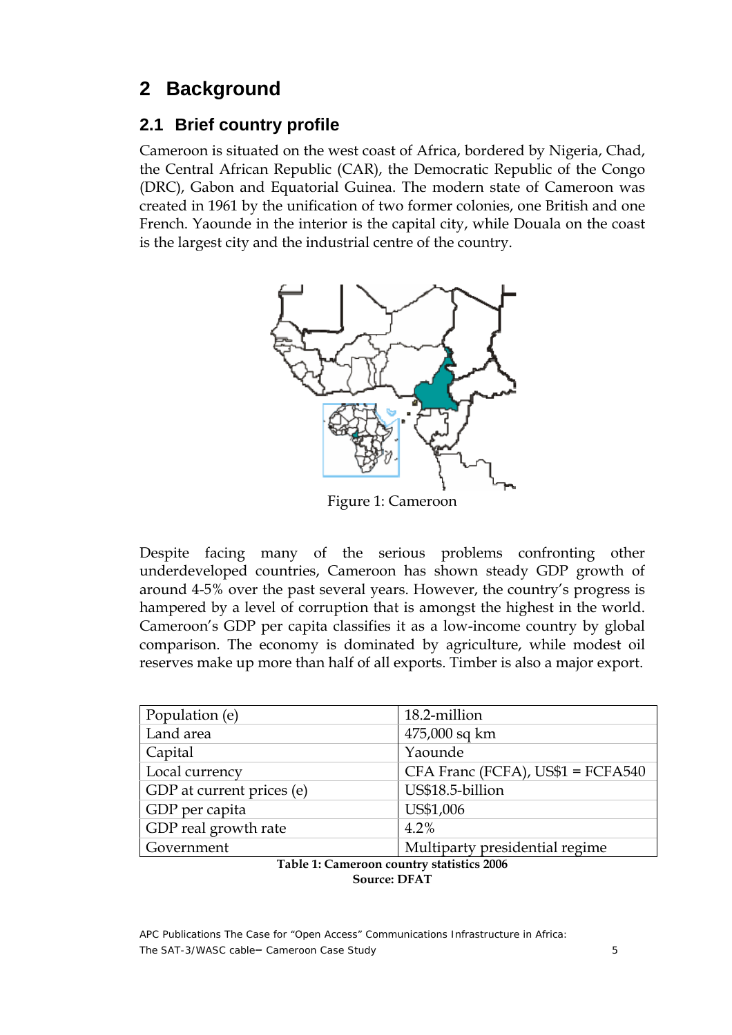## <span id="page-4-0"></span>**2 Background**

## **2.1 Brief country profile**

Cameroon is situated on the west coast of Africa, bordered by Nigeria, Chad, the Central African Republic (CAR), the Democratic Republic of the Congo (DRC), Gabon and Equatorial Guinea. The modern state of Cameroon was created in 1961 by the unification of two former colonies, one British and one French. Yaounde in the interior is the capital city, while Douala on the coast is the largest city and the industrial centre of the country.



Figure 1: Cameroon

Despite facing many of the serious problems confronting other underdeveloped countries, Cameroon has shown steady GDP growth of around 4-5% over the past several years. However, the country's progress is hampered by a level of corruption that is amongst the highest in the world. Cameroon's GDP per capita classifies it as a low-income country by global comparison. The economy is dominated by agriculture, while modest oil reserves make up more than half of all exports. Timber is also a major export.

| Population (e)            | 18.2-million                      |  |
|---------------------------|-----------------------------------|--|
|                           |                                   |  |
| Land area                 | 475,000 sq km                     |  |
| Capital                   | Yaounde                           |  |
| Local currency            | CFA Franc (FCFA), US\$1 = FCFA540 |  |
| GDP at current prices (e) | US\$18.5-billion                  |  |
| GDP per capita            | US\$1,006                         |  |
| GDP real growth rate      | 4.2%                              |  |
| Government                | Multiparty presidential regime    |  |
|                           | .                                 |  |

**Table 1: Cameroon country statistics 2006 Source: DFAT**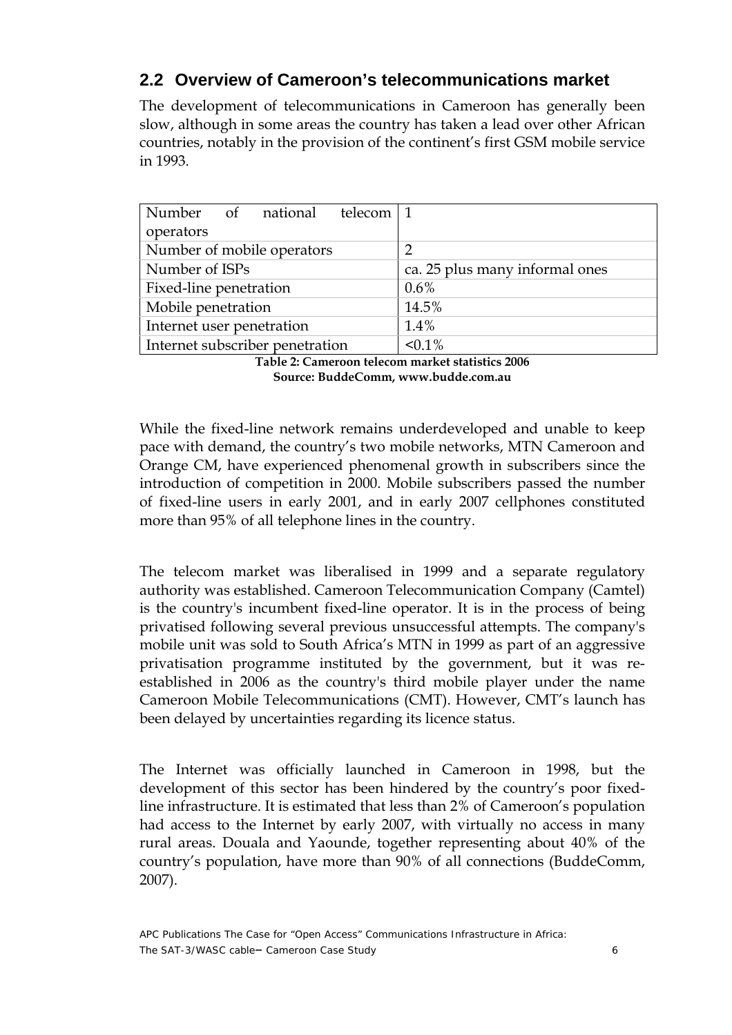## <span id="page-5-0"></span>**2.2 Overview of Cameroon's telecommunications market**

The development of telecommunications in Cameroon has generally been slow, although in some areas the country has taken a lead over other African countries, notably in the provision of the continent's first GSM mobile service in 1993.

| Number of national telecom 1    |                                |
|---------------------------------|--------------------------------|
| operators                       |                                |
| Number of mobile operators      | ႒                              |
| Number of ISPs                  | ca. 25 plus many informal ones |
| Fixed-line penetration          | $0.6\%$                        |
| Mobile penetration              | 14.5%                          |
| Internet user penetration       | 1.4%                           |
| Internet subscriber penetration | $< 0.1\%$                      |

**Table 2: Cameroon telecom market statistics 2006 Source: BuddeComm, www.budde.com.au** 

While the fixed-line network remains underdeveloped and unable to keep pace with demand, the country's two mobile networks, MTN Cameroon and Orange CM, have experienced phenomenal growth in subscribers since the introduction of competition in 2000. Mobile subscribers passed the number of fixed-line users in early 2001, and in early 2007 cellphones constituted more than 95% of all telephone lines in the country.

The telecom market was liberalised in 1999 and a separate regulatory authority was established. Cameroon Telecommunication Company (Camtel) is the country's incumbent fixed-line operator. It is in the process of being privatised following several previous unsuccessful attempts. The company's mobile unit was sold to South Africa's MTN in 1999 as part of an aggressive privatisation programme instituted by the government, but it was reestablished in 2006 as the country's third mobile player under the name Cameroon Mobile Telecommunications (CMT). However, CMT's launch has been delayed by uncertainties regarding its licence status.

The Internet was officially launched in Cameroon in 1998, but the development of this sector has been hindered by the country's poor fixedline infrastructure. It is estimated that less than 2% of Cameroon's population had access to the Internet by early 2007, with virtually no access in many rural areas. Douala and Yaounde, together representing about 40% of the country's population, have more than 90% of all connections (BuddeComm, 2007).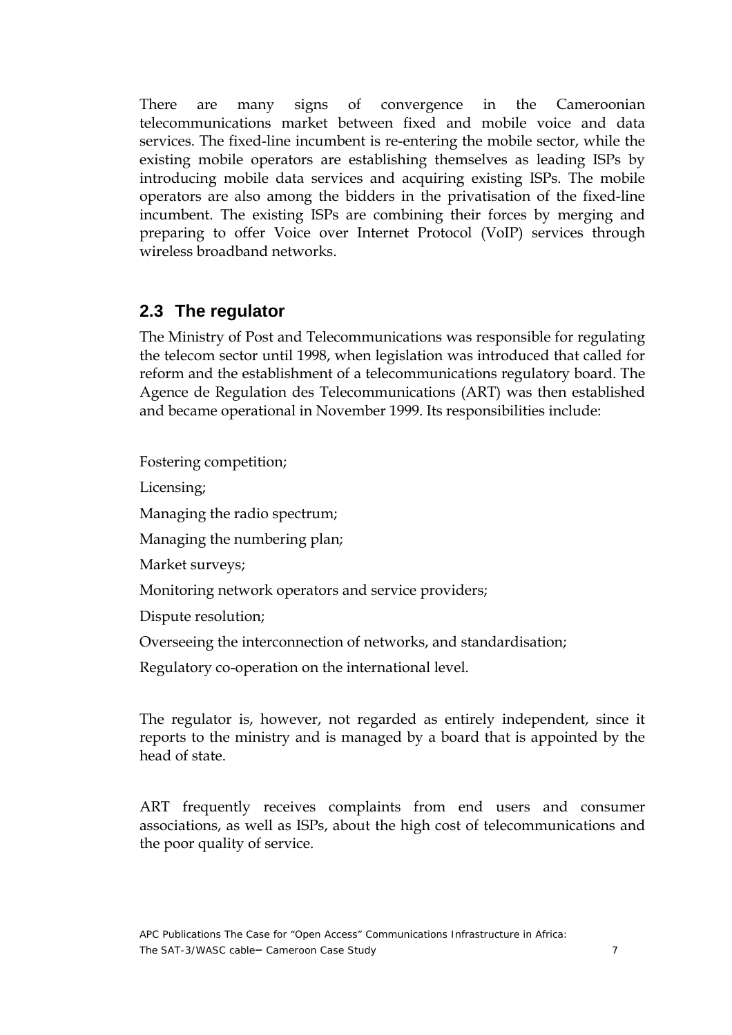<span id="page-6-0"></span>There are many signs of convergence in the Cameroonian telecommunications market between fixed and mobile voice and data services. The fixed-line incumbent is re-entering the mobile sector, while the existing mobile operators are establishing themselves as leading ISPs by introducing mobile data services and acquiring existing ISPs. The mobile operators are also among the bidders in the privatisation of the fixed-line incumbent. The existing ISPs are combining their forces by merging and preparing to offer Voice over Internet Protocol (VoIP) services through wireless broadband networks.

### **2.3 The regulator**

The Ministry of Post and Telecommunications was responsible for regulating the telecom sector until 1998, when legislation was introduced that called for reform and the establishment of a telecommunications regulatory board. The Agence de Regulation des Telecommunications (ART) was then established and became operational in November 1999. Its responsibilities include:

Fostering competition;

Licensing;

Managing the radio spectrum;

Managing the numbering plan;

Market surveys;

Monitoring network operators and service providers;

Dispute resolution;

Overseeing the interconnection of networks, and standardisation;

Regulatory co-operation on the international level.

The regulator is, however, not regarded as entirely independent, since it reports to the ministry and is managed by a board that is appointed by the head of state.

ART frequently receives complaints from end users and consumer associations, as well as ISPs, about the high cost of telecommunications and the poor quality of service.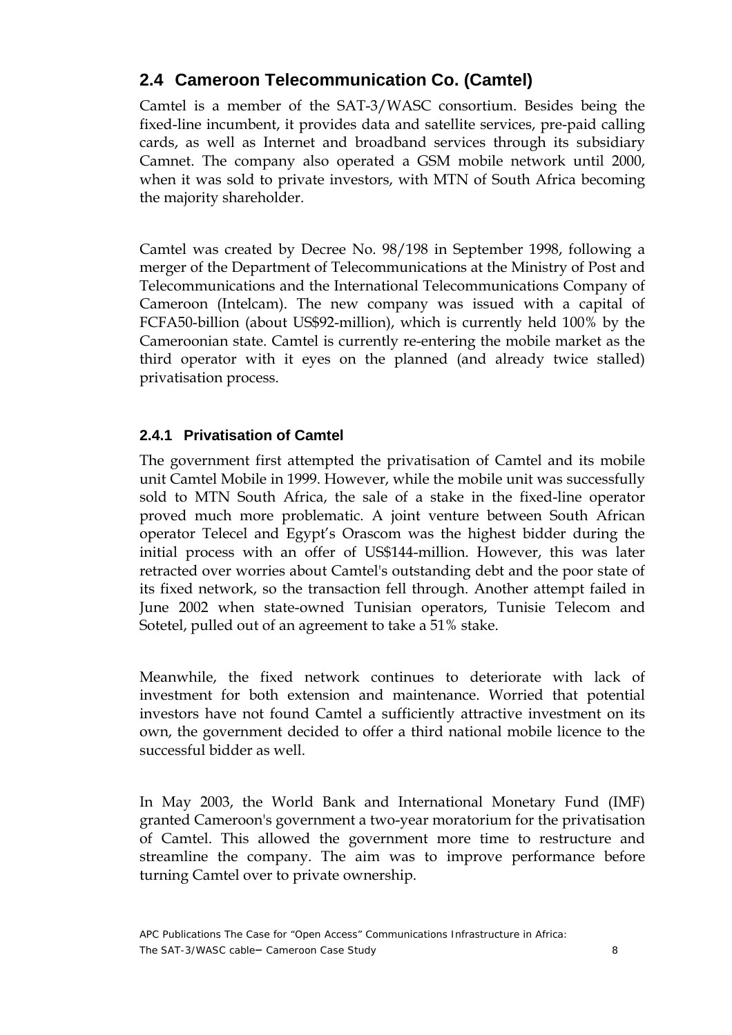### <span id="page-7-0"></span>**2.4 Cameroon Telecommunication Co. (Camtel)**

Camtel is a member of the SAT-3/WASC consortium. Besides being the fixed-line incumbent, it provides data and satellite services, pre-paid calling cards, as well as Internet and broadband services through its subsidiary Camnet. The company also operated a GSM mobile network until 2000, when it was sold to private investors, with MTN of South Africa becoming the majority shareholder.

Camtel was created by Decree No. 98/198 in September 1998, following a merger of the Department of Telecommunications at the Ministry of Post and Telecommunications and the International Telecommunications Company of Cameroon (Intelcam). The new company was issued with a capital of FCFA50-billion (about US\$92-million), which is currently held 100% by the Cameroonian state. Camtel is currently re-entering the mobile market as the third operator with it eyes on the planned (and already twice stalled) privatisation process.

### **2.4.1 Privatisation of Camtel**

The government first attempted the privatisation of Camtel and its mobile unit Camtel Mobile in 1999. However, while the mobile unit was successfully sold to MTN South Africa, the sale of a stake in the fixed-line operator proved much more problematic. A joint venture between South African operator Telecel and Egypt's Orascom was the highest bidder during the initial process with an offer of US\$144-million. However, this was later retracted over worries about Camtel's outstanding debt and the poor state of its fixed network, so the transaction fell through. Another attempt failed in June 2002 when state-owned Tunisian operators, Tunisie Telecom and Sotetel, pulled out of an agreement to take a 51% stake.

Meanwhile, the fixed network continues to deteriorate with lack of investment for both extension and maintenance. Worried that potential investors have not found Camtel a sufficiently attractive investment on its own, the government decided to offer a third national mobile licence to the successful bidder as well.

In May 2003, the World Bank and International Monetary Fund (IMF) granted Cameroon's government a two-year moratorium for the privatisation of Camtel. This allowed the government more time to restructure and streamline the company. The aim was to improve performance before turning Camtel over to private ownership.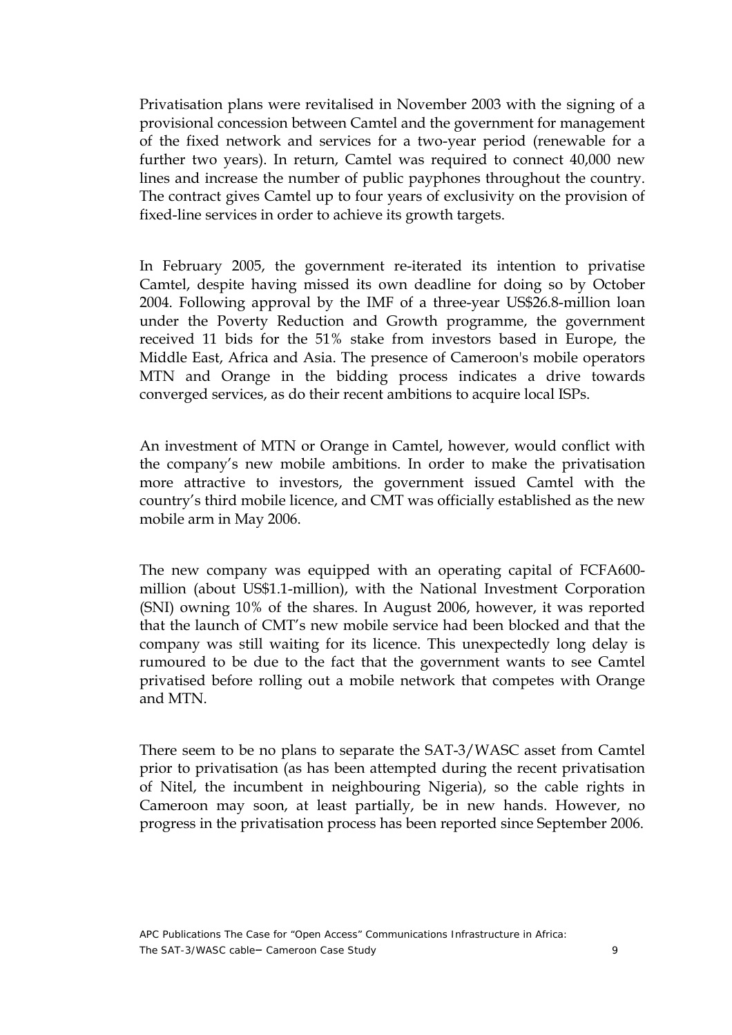Privatisation plans were revitalised in November 2003 with the signing of a provisional concession between Camtel and the government for management of the fixed network and services for a two-year period (renewable for a further two years). In return, Camtel was required to connect 40,000 new lines and increase the number of public payphones throughout the country. The contract gives Camtel up to four years of exclusivity on the provision of fixed-line services in order to achieve its growth targets.

In February 2005, the government re-iterated its intention to privatise Camtel, despite having missed its own deadline for doing so by October 2004. Following approval by the IMF of a three-year US\$26.8-million loan under the Poverty Reduction and Growth programme, the government received 11 bids for the 51% stake from investors based in Europe, the Middle East, Africa and Asia. The presence of Cameroon's mobile operators MTN and Orange in the bidding process indicates a drive towards converged services, as do their recent ambitions to acquire local ISPs.

An investment of MTN or Orange in Camtel, however, would conflict with the company's new mobile ambitions. In order to make the privatisation more attractive to investors, the government issued Camtel with the country's third mobile licence, and CMT was officially established as the new mobile arm in May 2006.

The new company was equipped with an operating capital of FCFA600 million (about US\$1.1-million), with the National Investment Corporation (SNI) owning 10% of the shares. In August 2006, however, it was reported that the launch of CMT's new mobile service had been blocked and that the company was still waiting for its licence. This unexpectedly long delay is rumoured to be due to the fact that the government wants to see Camtel privatised before rolling out a mobile network that competes with Orange and MTN.

There seem to be no plans to separate the SAT-3/WASC asset from Camtel prior to privatisation (as has been attempted during the recent privatisation of Nitel, the incumbent in neighbouring Nigeria), so the cable rights in Cameroon may soon, at least partially, be in new hands. However, no progress in the privatisation process has been reported since September 2006.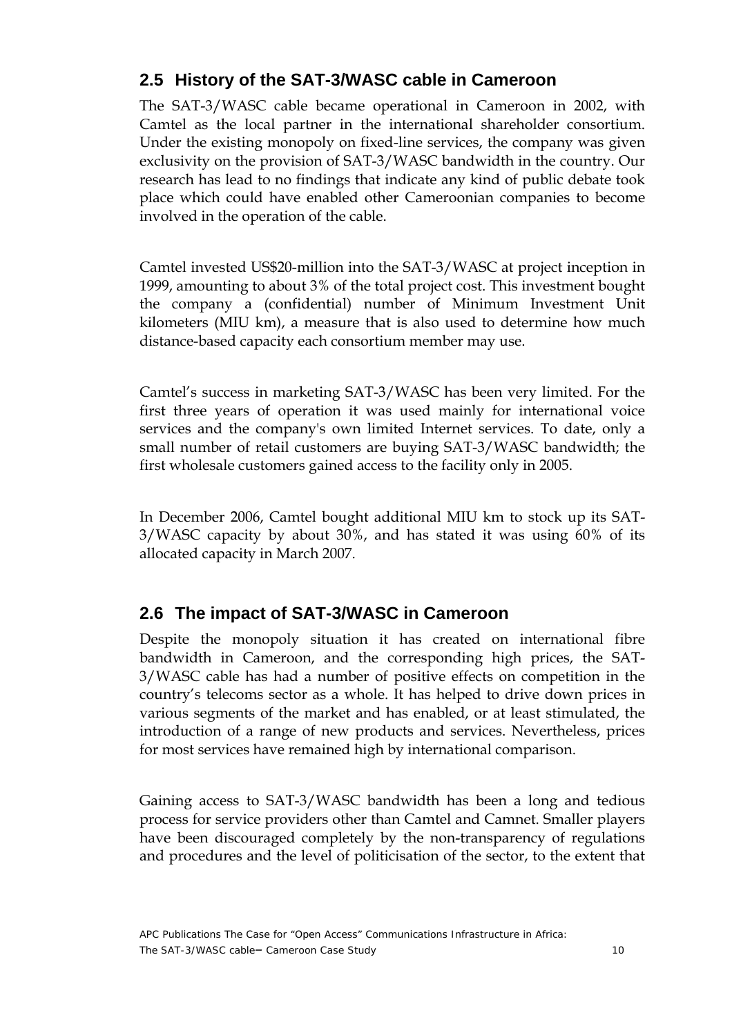## <span id="page-9-0"></span>**2.5 History of the SAT-3/WASC cable in Cameroon**

The SAT-3/WASC cable became operational in Cameroon in 2002, with Camtel as the local partner in the international shareholder consortium. Under the existing monopoly on fixed-line services, the company was given exclusivity on the provision of SAT-3/WASC bandwidth in the country. Our research has lead to no findings that indicate any kind of public debate took place which could have enabled other Cameroonian companies to become involved in the operation of the cable.

Camtel invested US\$20-million into the SAT-3/WASC at project inception in 1999, amounting to about 3% of the total project cost. This investment bought the company a (confidential) number of Minimum Investment Unit kilometers (MIU km), a measure that is also used to determine how much distance-based capacity each consortium member may use.

Camtel's success in marketing SAT-3/WASC has been very limited. For the first three years of operation it was used mainly for international voice services and the company's own limited Internet services. To date, only a small number of retail customers are buying SAT-3/WASC bandwidth; the first wholesale customers gained access to the facility only in 2005.

In December 2006, Camtel bought additional MIU km to stock up its SAT-3/WASC capacity by about 30%, and has stated it was using 60% of its allocated capacity in March 2007.

## **2.6 The impact of SAT-3/WASC in Cameroon**

Despite the monopoly situation it has created on international fibre bandwidth in Cameroon, and the corresponding high prices, the SAT-3/WASC cable has had a number of positive effects on competition in the country's telecoms sector as a whole. It has helped to drive down prices in various segments of the market and has enabled, or at least stimulated, the introduction of a range of new products and services. Nevertheless, prices for most services have remained high by international comparison.

Gaining access to SAT-3/WASC bandwidth has been a long and tedious process for service providers other than Camtel and Camnet. Smaller players have been discouraged completely by the non-transparency of regulations and procedures and the level of politicisation of the sector, to the extent that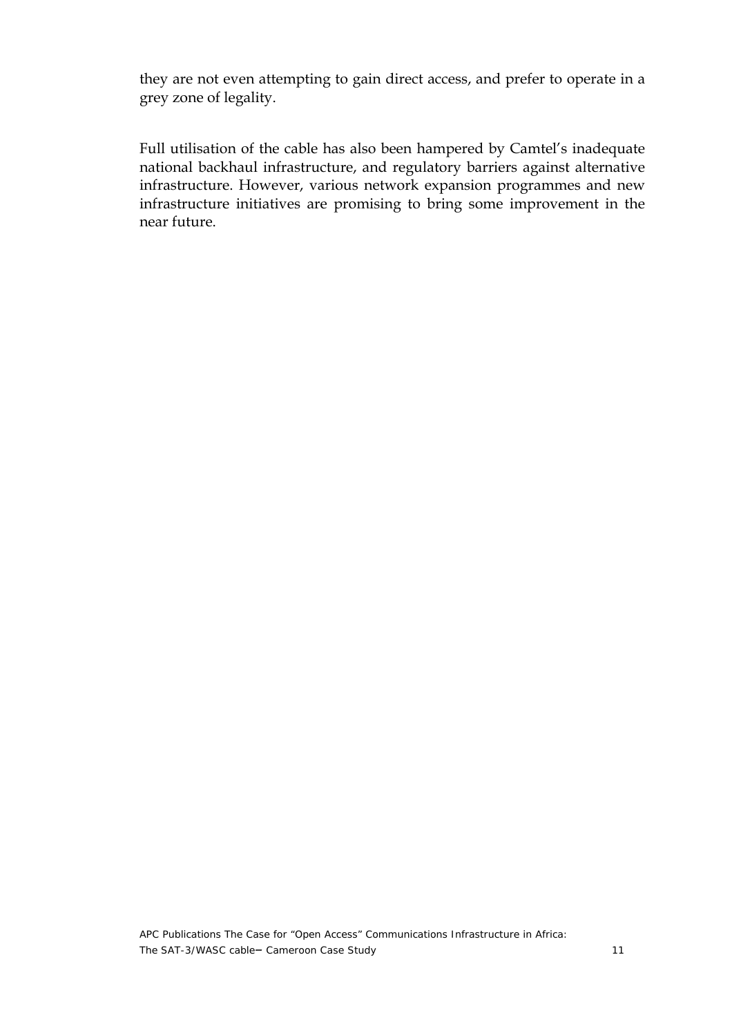they are not even attempting to gain direct access, and prefer to operate in a grey zone of legality.

Full utilisation of the cable has also been hampered by Camtel's inadequate national backhaul infrastructure, and regulatory barriers against alternative infrastructure. However, various network expansion programmes and new infrastructure initiatives are promising to bring some improvement in the near future.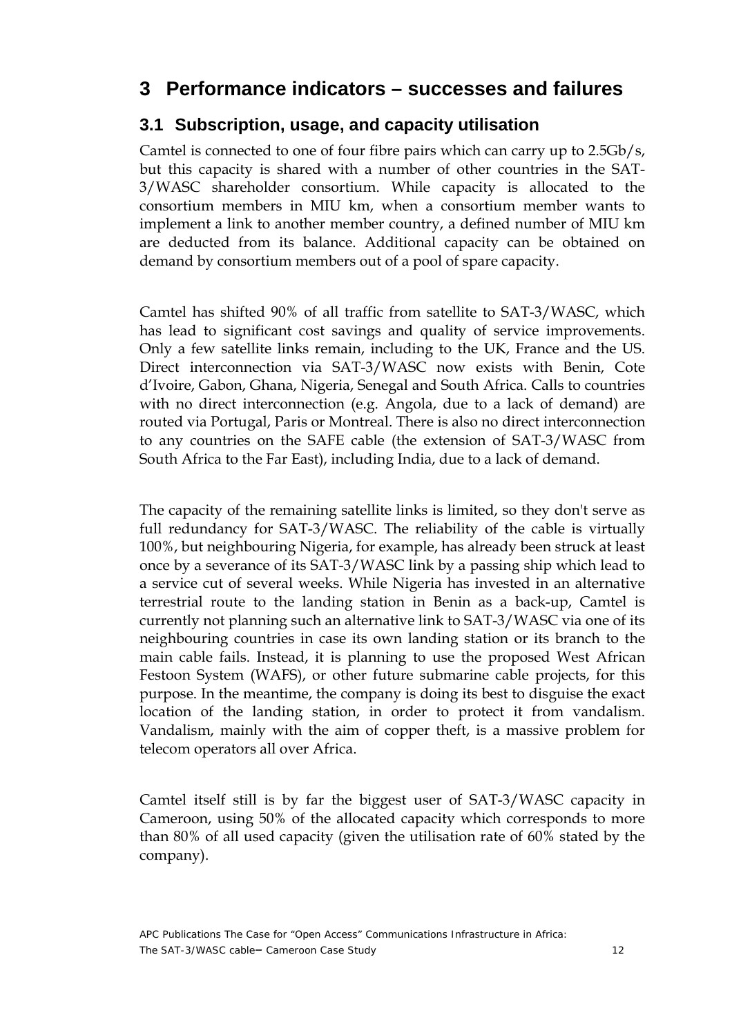## <span id="page-11-0"></span>**3 Performance indicators – successes and failures**

### **3.1 Subscription, usage, and capacity utilisation**

Camtel is connected to one of four fibre pairs which can carry up to 2.5Gb/s, but this capacity is shared with a number of other countries in the SAT-3/WASC shareholder consortium. While capacity is allocated to the consortium members in MIU km, when a consortium member wants to implement a link to another member country, a defined number of MIU km are deducted from its balance. Additional capacity can be obtained on demand by consortium members out of a pool of spare capacity.

Camtel has shifted 90% of all traffic from satellite to SAT-3/WASC, which has lead to significant cost savings and quality of service improvements. Only a few satellite links remain, including to the UK, France and the US. Direct interconnection via SAT-3/WASC now exists with Benin, Cote d'Ivoire, Gabon, Ghana, Nigeria, Senegal and South Africa. Calls to countries with no direct interconnection (e.g. Angola, due to a lack of demand) are routed via Portugal, Paris or Montreal. There is also no direct interconnection to any countries on the SAFE cable (the extension of SAT-3/WASC from South Africa to the Far East), including India, due to a lack of demand.

The capacity of the remaining satellite links is limited, so they don't serve as full redundancy for SAT-3/WASC. The reliability of the cable is virtually 100%, but neighbouring Nigeria, for example, has already been struck at least once by a severance of its SAT-3/WASC link by a passing ship which lead to a service cut of several weeks. While Nigeria has invested in an alternative terrestrial route to the landing station in Benin as a back-up, Camtel is currently not planning such an alternative link to SAT-3/WASC via one of its neighbouring countries in case its own landing station or its branch to the main cable fails. Instead, it is planning to use the proposed West African Festoon System (WAFS), or other future submarine cable projects, for this purpose. In the meantime, the company is doing its best to disguise the exact location of the landing station, in order to protect it from vandalism. Vandalism, mainly with the aim of copper theft, is a massive problem for telecom operators all over Africa.

Camtel itself still is by far the biggest user of SAT-3/WASC capacity in Cameroon, using 50% of the allocated capacity which corresponds to more than 80% of all used capacity (given the utilisation rate of 60% stated by the company).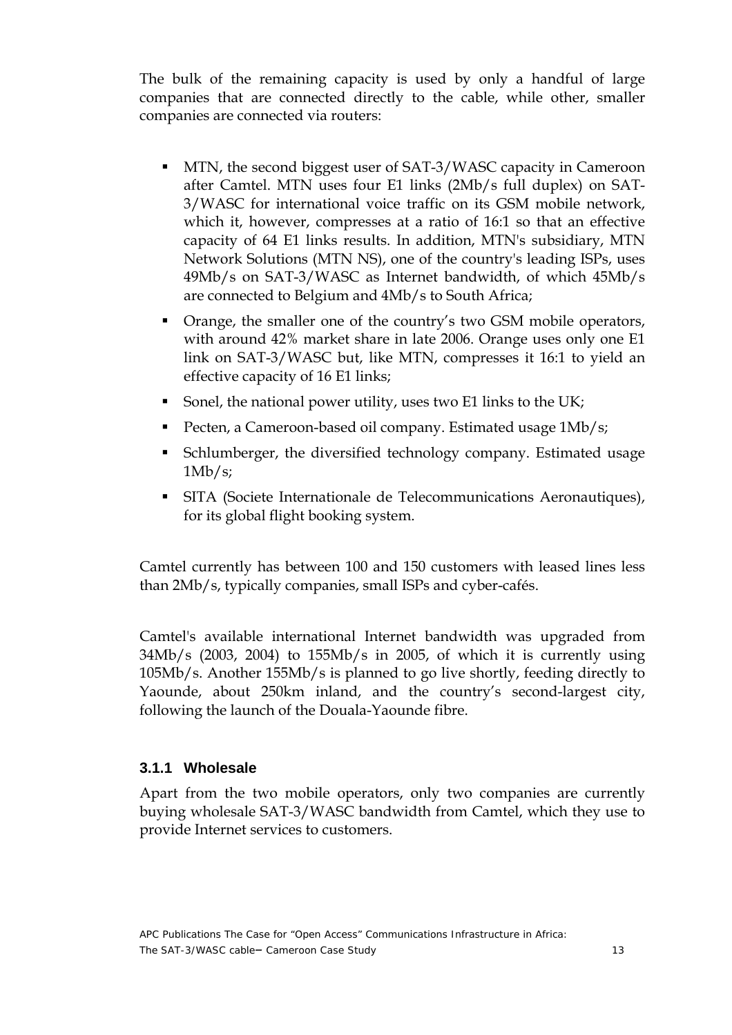<span id="page-12-0"></span>The bulk of the remaining capacity is used by only a handful of large companies that are connected directly to the cable, while other, smaller companies are connected via routers:

- **MTN, the second biggest user of SAT-3/WASC capacity in Cameroon** after Camtel. MTN uses four E1 links (2Mb/s full duplex) on SAT-3/WASC for international voice traffic on its GSM mobile network, which it, however, compresses at a ratio of 16:1 so that an effective capacity of 64 E1 links results. In addition, MTN's subsidiary, MTN Network Solutions (MTN NS), one of the country's leading ISPs, uses 49Mb/s on SAT-3/WASC as Internet bandwidth, of which 45Mb/s are connected to Belgium and 4Mb/s to South Africa;
- Orange, the smaller one of the country's two GSM mobile operators, with around 42% market share in late 2006. Orange uses only one E1 link on SAT-3/WASC but, like MTN, compresses it 16:1 to yield an effective capacity of 16 E1 links;
- Sonel, the national power utility, uses two E1 links to the UK;
- Pecten, a Cameroon-based oil company. Estimated usage 1Mb/s;
- Schlumberger, the diversified technology company. Estimated usage  $1Mb/s;$
- SITA (Societe Internationale de Telecommunications Aeronautiques), for its global flight booking system.

Camtel currently has between 100 and 150 customers with leased lines less than 2Mb/s, typically companies, small ISPs and cyber-cafés.

Camtel's available international Internet bandwidth was upgraded from 34Mb/s (2003, 2004) to 155Mb/s in 2005, of which it is currently using 105Mb/s. Another 155Mb/s is planned to go live shortly, feeding directly to Yaounde, about 250km inland, and the country's second-largest city, following the launch of the Douala-Yaounde fibre.

### **3.1.1 Wholesale**

Apart from the two mobile operators, only two companies are currently buying wholesale SAT-3/WASC bandwidth from Camtel, which they use to provide Internet services to customers.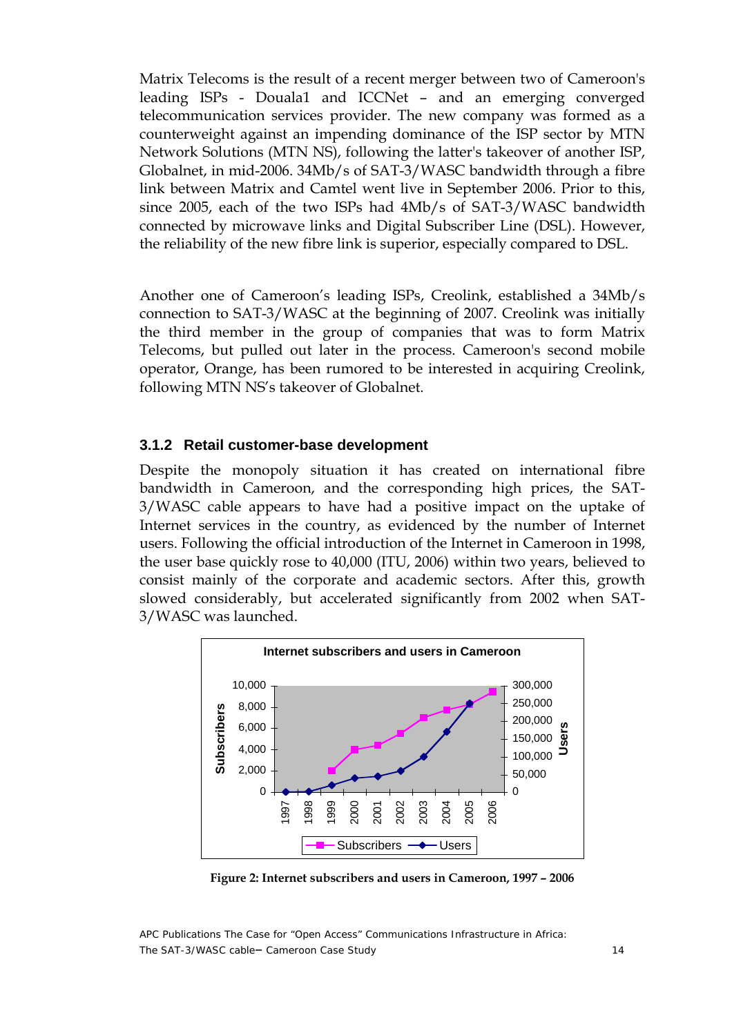<span id="page-13-0"></span>Matrix Telecoms is the result of a recent merger between two of Cameroon's leading ISPs - Douala1 and ICCNet – and an emerging converged telecommunication services provider. The new company was formed as a counterweight against an impending dominance of the ISP sector by MTN Network Solutions (MTN NS), following the latter's takeover of another ISP, Globalnet, in mid-2006. 34Mb/s of SAT-3/WASC bandwidth through a fibre link between Matrix and Camtel went live in September 2006. Prior to this, since 2005, each of the two ISPs had 4Mb/s of SAT-3/WASC bandwidth connected by microwave links and Digital Subscriber Line (DSL). However, the reliability of the new fibre link is superior, especially compared to DSL.

Another one of Cameroon's leading ISPs, Creolink, established a 34Mb/s connection to SAT-3/WASC at the beginning of 2007. Creolink was initially the third member in the group of companies that was to form Matrix Telecoms, but pulled out later in the process. Cameroon's second mobile operator, Orange, has been rumored to be interested in acquiring Creolink, following MTN NS's takeover of Globalnet.

#### **3.1.2 Retail customer-base development**

Despite the monopoly situation it has created on international fibre bandwidth in Cameroon, and the corresponding high prices, the SAT-3/WASC cable appears to have had a positive impact on the uptake of Internet services in the country, as evidenced by the number of Internet users. Following the official introduction of the Internet in Cameroon in 1998, the user base quickly rose to 40,000 (ITU, 2006) within two years, believed to consist mainly of the corporate and academic sectors. After this, growth slowed considerably, but accelerated significantly from 2002 when SAT-3/WASC was launched.



**Figure 2: Internet subscribers and users in Cameroon, 1997 – 2006** 

*APC Publications* The Case for "Open Access" Communications Infrastructure in Africa: The SAT-3/WASC cable– Cameroon Case Study 14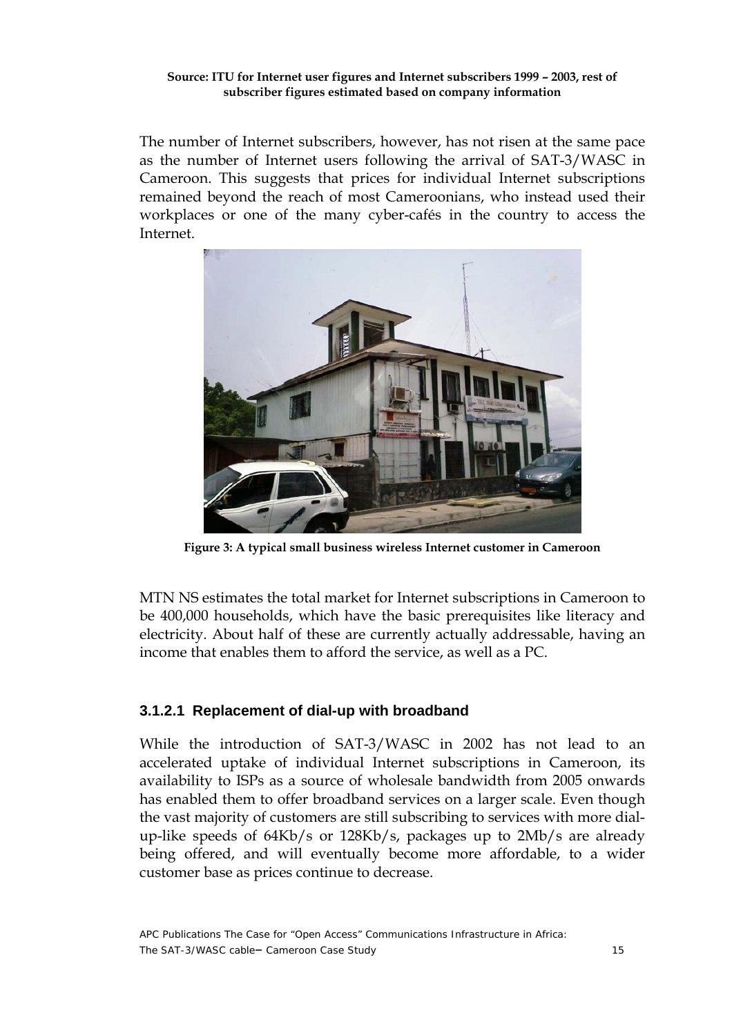<span id="page-14-0"></span>**Source: ITU for Internet user figures and Internet subscribers 1999 – 2003, rest of subscriber figures estimated based on company information** 

The number of Internet subscribers, however, has not risen at the same pace as the number of Internet users following the arrival of SAT-3/WASC in Cameroon. This suggests that prices for individual Internet subscriptions remained beyond the reach of most Cameroonians, who instead used their workplaces or one of the many cyber-cafés in the country to access the Internet.



**Figure 3: A typical small business wireless Internet customer in Cameroon** 

MTN NS estimates the total market for Internet subscriptions in Cameroon to be 400,000 households, which have the basic prerequisites like literacy and electricity. About half of these are currently actually addressable, having an income that enables them to afford the service, as well as a PC.

#### **3.1.2.1 Replacement of dial-up with broadband**

While the introduction of SAT-3/WASC in 2002 has not lead to an accelerated uptake of individual Internet subscriptions in Cameroon, its availability to ISPs as a source of wholesale bandwidth from 2005 onwards has enabled them to offer broadband services on a larger scale. Even though the vast majority of customers are still subscribing to services with more dialup-like speeds of 64Kb/s or 128Kb/s, packages up to 2Mb/s are already being offered, and will eventually become more affordable, to a wider customer base as prices continue to decrease.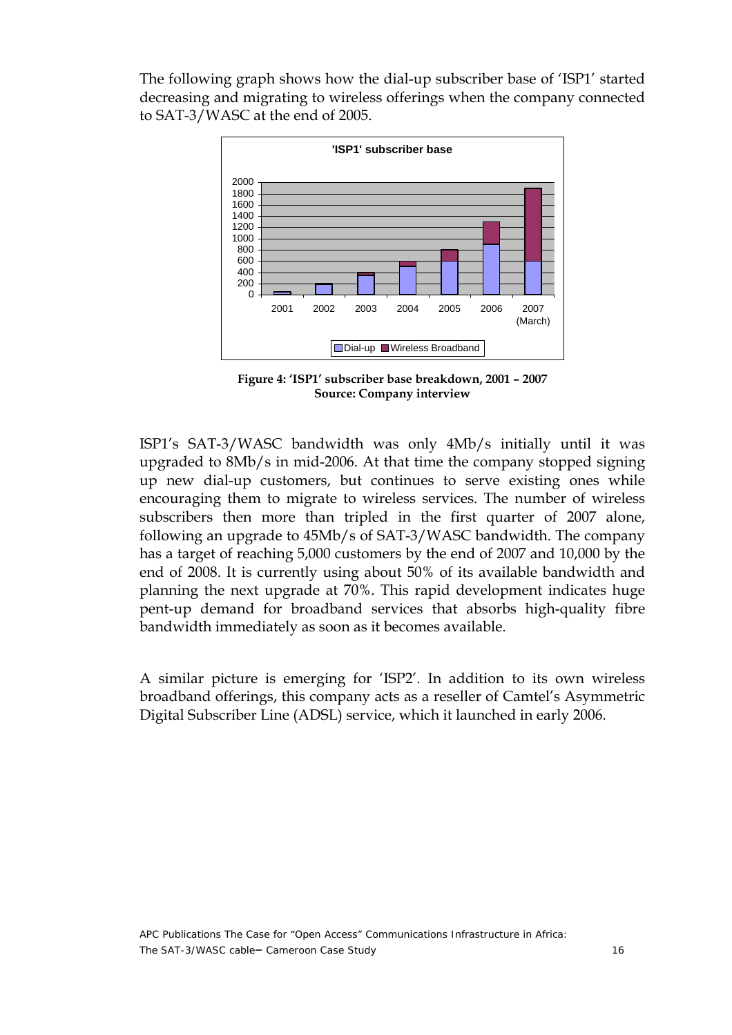<span id="page-15-0"></span>The following graph shows how the dial-up subscriber base of 'ISP1' started decreasing and migrating to wireless offerings when the company connected to SAT-3/WASC at the end of 2005.



**Figure 4: 'ISP1' subscriber base breakdown, 2001 – 2007 Source: Company interview** 

ISP1's SAT-3/WASC bandwidth was only 4Mb/s initially until it was upgraded to 8Mb/s in mid-2006. At that time the company stopped signing up new dial-up customers, but continues to serve existing ones while encouraging them to migrate to wireless services. The number of wireless subscribers then more than tripled in the first quarter of 2007 alone, following an upgrade to 45Mb/s of SAT-3/WASC bandwidth. The company has a target of reaching 5,000 customers by the end of 2007 and 10,000 by the end of 2008. It is currently using about 50% of its available bandwidth and planning the next upgrade at 70%. This rapid development indicates huge pent-up demand for broadband services that absorbs high-quality fibre bandwidth immediately as soon as it becomes available.

A similar picture is emerging for 'ISP2'. In addition to its own wireless broadband offerings, this company acts as a reseller of Camtel's Asymmetric Digital Subscriber Line (ADSL) service, which it launched in early 2006.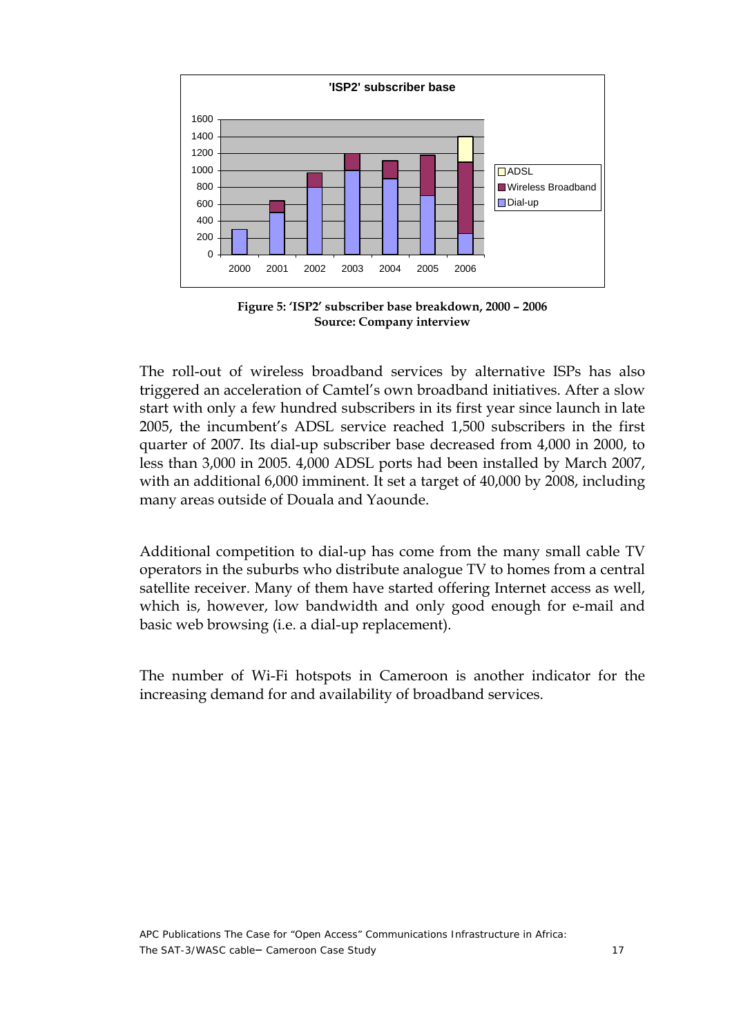<span id="page-16-0"></span>

**Figure 5: 'ISP2' subscriber base breakdown, 2000 – 2006 Source: Company interview** 

The roll-out of wireless broadband services by alternative ISPs has also triggered an acceleration of Camtel's own broadband initiatives. After a slow start with only a few hundred subscribers in its first year since launch in late 2005, the incumbent's ADSL service reached 1,500 subscribers in the first quarter of 2007. Its dial-up subscriber base decreased from 4,000 in 2000, to less than 3,000 in 2005. 4,000 ADSL ports had been installed by March 2007, with an additional 6,000 imminent. It set a target of 40,000 by 2008, including many areas outside of Douala and Yaounde.

Additional competition to dial-up has come from the many small cable TV operators in the suburbs who distribute analogue TV to homes from a central satellite receiver. Many of them have started offering Internet access as well, which is, however, low bandwidth and only good enough for e-mail and basic web browsing (i.e. a dial-up replacement).

The number of Wi-Fi hotspots in Cameroon is another indicator for the increasing demand for and availability of broadband services.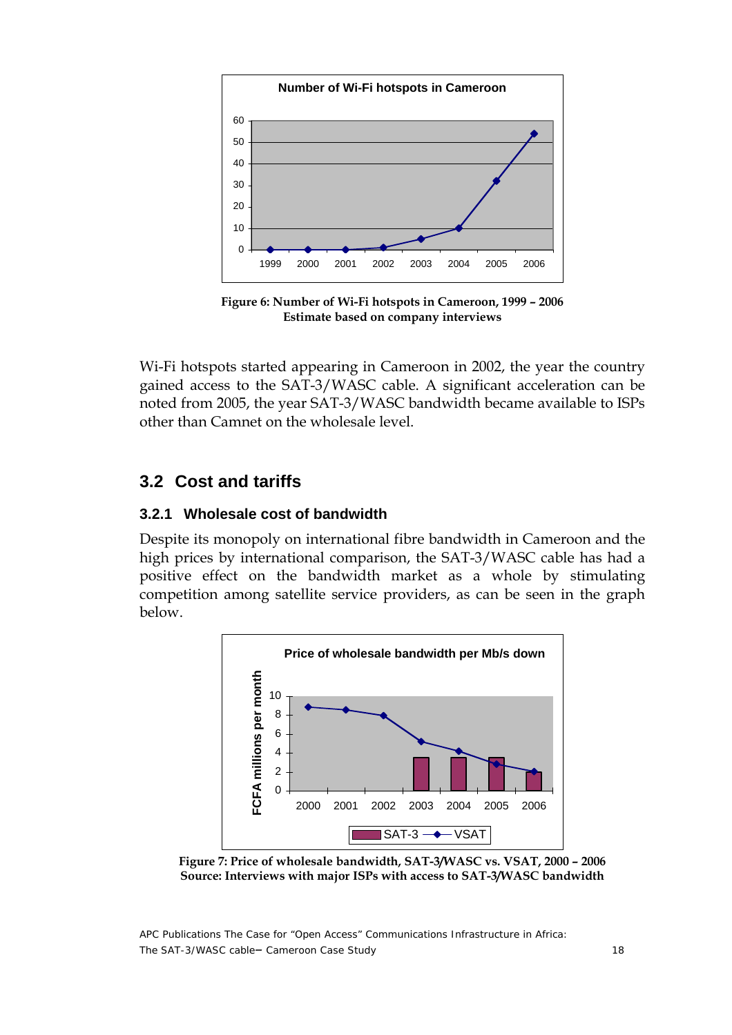<span id="page-17-0"></span>

**Figure 6: Number of Wi-Fi hotspots in Cameroon, 1999 – 2006 Estimate based on company interviews** 

Wi-Fi hotspots started appearing in Cameroon in 2002, the year the country gained access to the SAT-3/WASC cable. A significant acceleration can be noted from 2005, the year SAT-3/WASC bandwidth became available to ISPs other than Camnet on the wholesale level.

### **3.2 Cost and tariffs**

#### **3.2.1 Wholesale cost of bandwidth**

Despite its monopoly on international fibre bandwidth in Cameroon and the high prices by international comparison, the SAT-3/WASC cable has had a positive effect on the bandwidth market as a whole by stimulating competition among satellite service providers, as can be seen in the graph below.



**Figure 7: Price of wholesale bandwidth, SAT-3/WASC vs. VSAT, 2000 – 2006 Source: Interviews with major ISPs with access to SAT-3/WASC bandwidth** 

*APC Publications* The Case for "Open Access" Communications Infrastructure in Africa: The SAT-3/WASC cable– Cameroon Case Study 18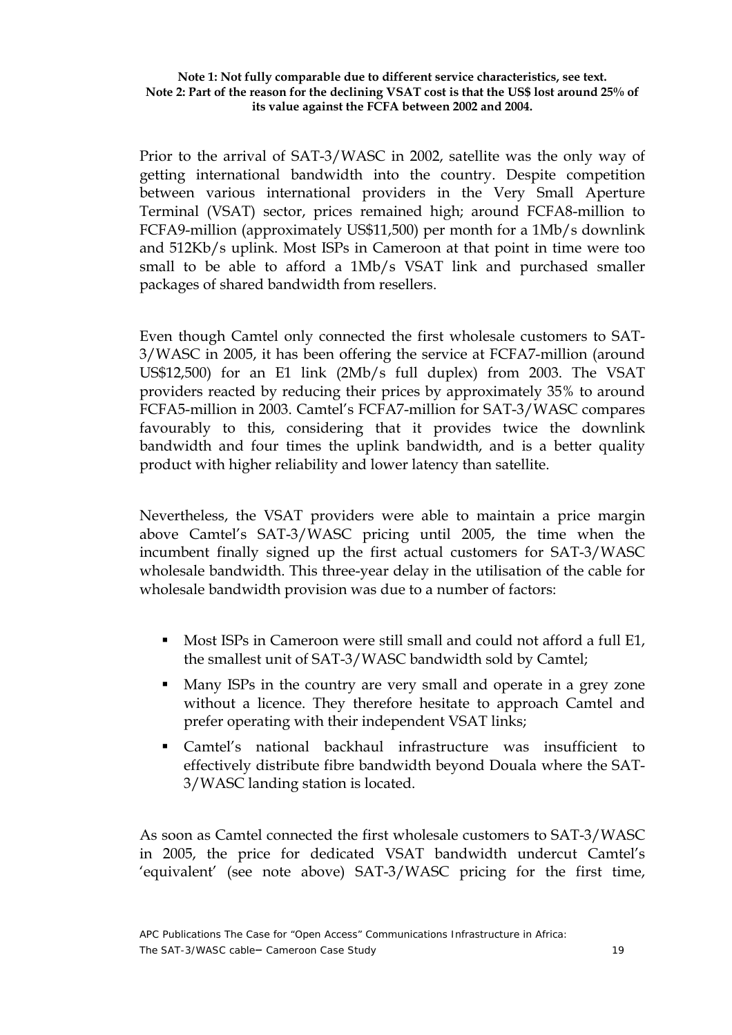#### **Note 1: Not fully comparable due to different service characteristics, see text. Note 2: Part of the reason for the declining VSAT cost is that the US\$ lost around 25% of its value against the FCFA between 2002 and 2004.**

Prior to the arrival of SAT-3/WASC in 2002, satellite was the only way of getting international bandwidth into the country. Despite competition between various international providers in the Very Small Aperture Terminal (VSAT) sector, prices remained high; around FCFA8-million to FCFA9-million (approximately US\$11,500) per month for a 1Mb/s downlink and 512Kb/s uplink. Most ISPs in Cameroon at that point in time were too small to be able to afford a 1Mb/s VSAT link and purchased smaller packages of shared bandwidth from resellers.

Even though Camtel only connected the first wholesale customers to SAT-3/WASC in 2005, it has been offering the service at FCFA7-million (around US\$12,500) for an E1 link (2Mb/s full duplex) from 2003. The VSAT providers reacted by reducing their prices by approximately 35% to around FCFA5-million in 2003. Camtel's FCFA7-million for SAT-3/WASC compares favourably to this, considering that it provides twice the downlink bandwidth and four times the uplink bandwidth, and is a better quality product with higher reliability and lower latency than satellite.

Nevertheless, the VSAT providers were able to maintain a price margin above Camtel's SAT-3/WASC pricing until 2005, the time when the incumbent finally signed up the first actual customers for SAT-3/WASC wholesale bandwidth. This three-year delay in the utilisation of the cable for wholesale bandwidth provision was due to a number of factors:

- Most ISPs in Cameroon were still small and could not afford a full E1, the smallest unit of SAT-3/WASC bandwidth sold by Camtel;
- Many ISPs in the country are very small and operate in a grey zone without a licence. They therefore hesitate to approach Camtel and prefer operating with their independent VSAT links;
- Camtel's national backhaul infrastructure was insufficient to effectively distribute fibre bandwidth beyond Douala where the SAT-3/WASC landing station is located.

As soon as Camtel connected the first wholesale customers to SAT-3/WASC in 2005, the price for dedicated VSAT bandwidth undercut Camtel's 'equivalent' (see note above) SAT-3/WASC pricing for the first time,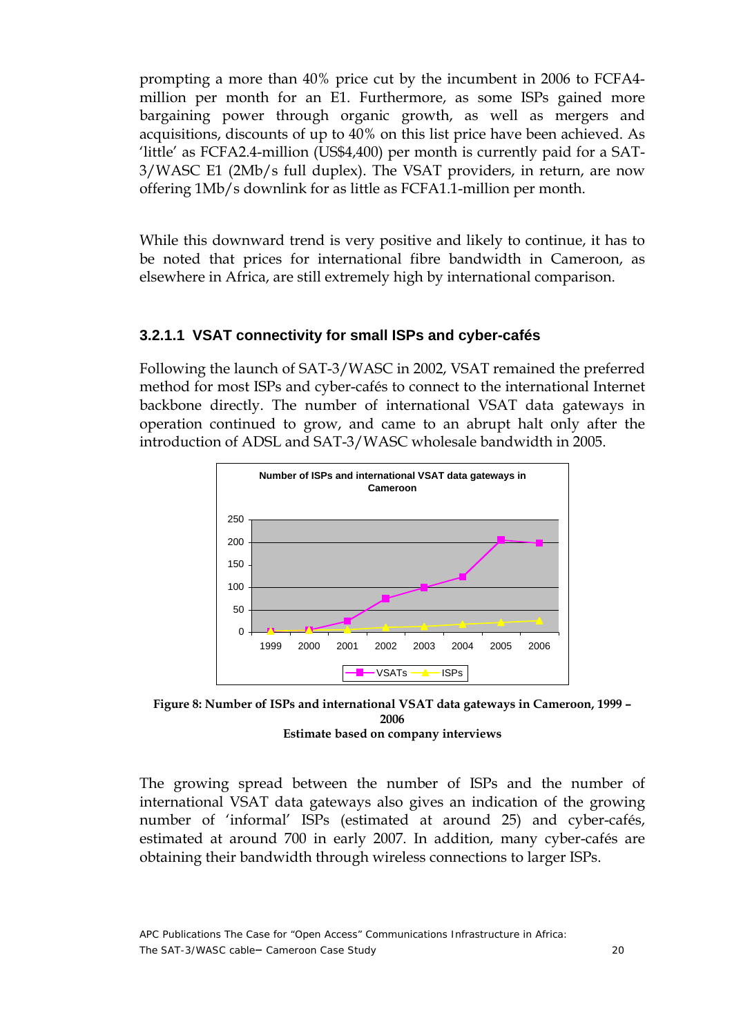<span id="page-19-0"></span>prompting a more than 40% price cut by the incumbent in 2006 to FCFA4 million per month for an E1. Furthermore, as some ISPs gained more bargaining power through organic growth, as well as mergers and acquisitions, discounts of up to 40% on this list price have been achieved. As 'little' as FCFA2.4-million (US\$4,400) per month is currently paid for a SAT-3/WASC E1 (2Mb/s full duplex). The VSAT providers, in return, are now offering 1Mb/s downlink for as little as FCFA1.1-million per month.

While this downward trend is very positive and likely to continue, it has to be noted that prices for international fibre bandwidth in Cameroon, as elsewhere in Africa, are still extremely high by international comparison.

#### **3.2.1.1 VSAT connectivity for small ISPs and cyber-cafés**

Following the launch of SAT-3/WASC in 2002, VSAT remained the preferred method for most ISPs and cyber-cafés to connect to the international Internet backbone directly. The number of international VSAT data gateways in operation continued to grow, and came to an abrupt halt only after the introduction of ADSL and SAT-3/WASC wholesale bandwidth in 2005.





The growing spread between the number of ISPs and the number of international VSAT data gateways also gives an indication of the growing number of 'informal' ISPs (estimated at around 25) and cyber-cafés, estimated at around 700 in early 2007. In addition, many cyber-cafés are obtaining their bandwidth through wireless connections to larger ISPs.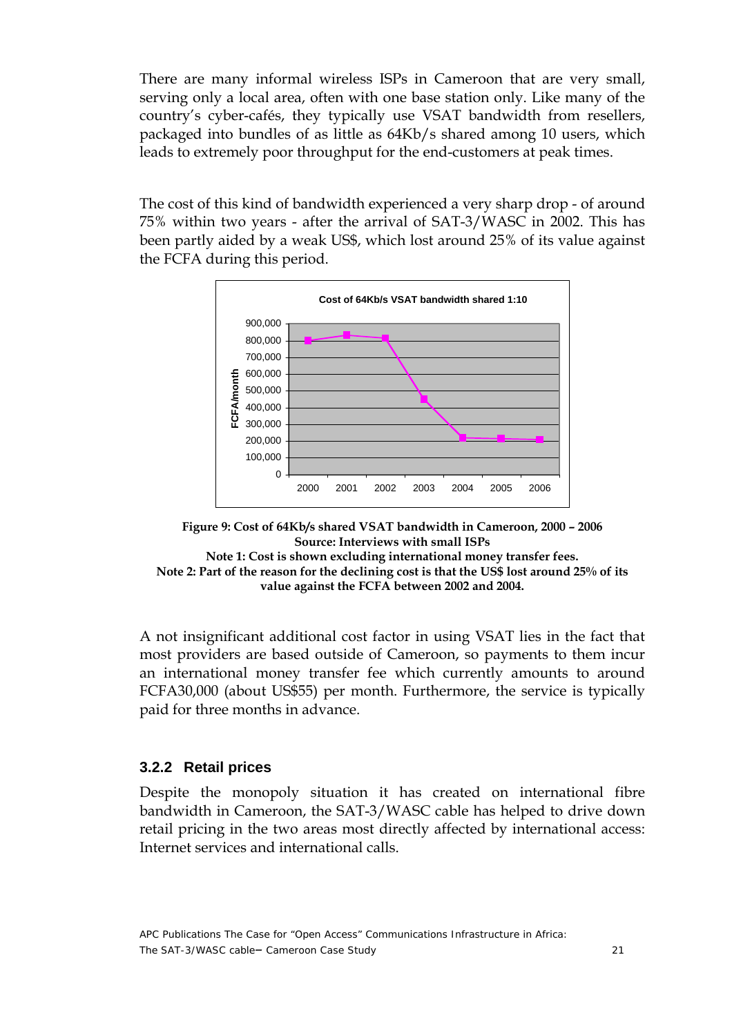<span id="page-20-0"></span>There are many informal wireless ISPs in Cameroon that are very small, serving only a local area, often with one base station only. Like many of the country's cyber-cafés, they typically use VSAT bandwidth from resellers, packaged into bundles of as little as 64Kb/s shared among 10 users, which leads to extremely poor throughput for the end-customers at peak times.

The cost of this kind of bandwidth experienced a very sharp drop - of around 75% within two years - after the arrival of SAT-3/WASC in 2002. This has been partly aided by a weak US\$, which lost around 25% of its value against the FCFA during this period.





**Note 1: Cost is shown excluding international money transfer fees. Note 2: Part of the reason for the declining cost is that the US\$ lost around 25% of its value against the FCFA between 2002 and 2004.** 

A not insignificant additional cost factor in using VSAT lies in the fact that most providers are based outside of Cameroon, so payments to them incur an international money transfer fee which currently amounts to around FCFA30,000 (about US\$55) per month. Furthermore, the service is typically paid for three months in advance.

#### **3.2.2 Retail prices**

Despite the monopoly situation it has created on international fibre bandwidth in Cameroon, the SAT-3/WASC cable has helped to drive down retail pricing in the two areas most directly affected by international access: Internet services and international calls.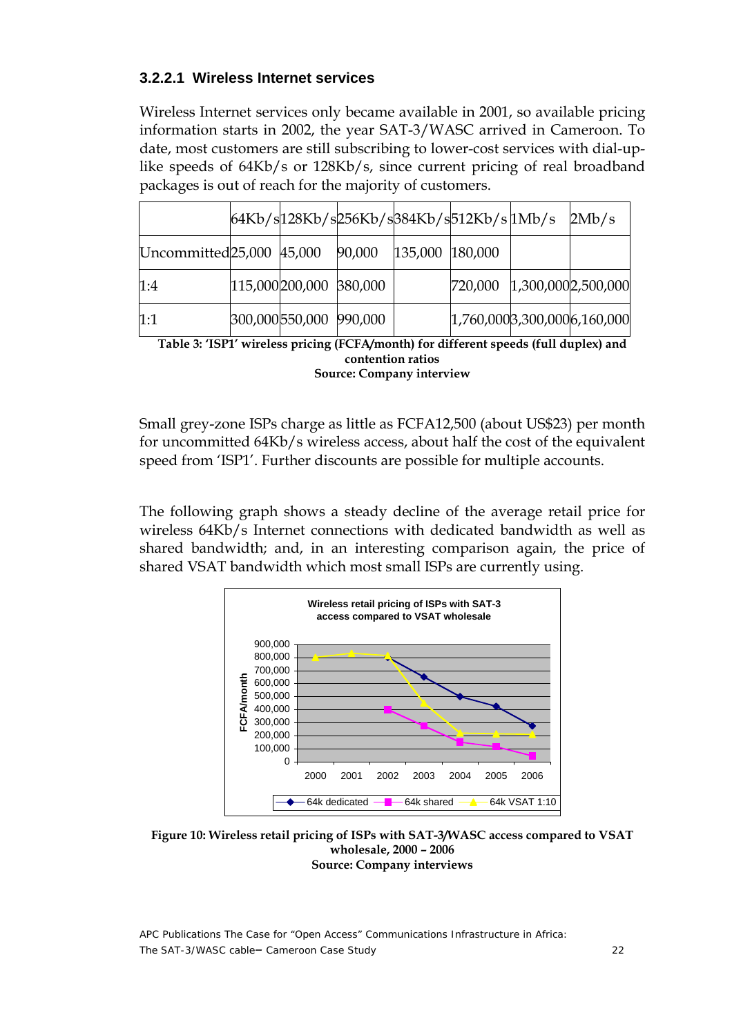#### <span id="page-21-0"></span>**3.2.2.1 Wireless Internet services**

Wireless Internet services only became available in 2001, so available pricing information starts in 2002, the year SAT-3/WASC arrived in Cameroon. To date, most customers are still subscribing to lower-cost services with dial-uplike speeds of 64Kb/s or 128Kb/s, since current pricing of real broadband packages is out of reach for the majority of customers.

|                                       |                         |        |                 | $64Kb/s128Kb/s256Kb/s384Kb/s512Kb/s1Mb/s$ | 2Mb/s                                 |
|---------------------------------------|-------------------------|--------|-----------------|-------------------------------------------|---------------------------------------|
| Uncommitted <sub>25</sub> ,000 45,000 |                         | 90,000 | 135,000 180,000 |                                           |                                       |
| 1:4                                   | 115,000 200,000 380,000 |        |                 | 720,000                                   | 1,300,0002,500,000                    |
| 1:1                                   | 300,000 550,000 990,000 |        |                 |                                           | $[1,760,000]$ 3,300,000 $[6,160,000]$ |



Small grey-zone ISPs charge as little as FCFA12,500 (about US\$23) per month for uncommitted 64Kb/s wireless access, about half the cost of the equivalent speed from 'ISP1'. Further discounts are possible for multiple accounts.

The following graph shows a steady decline of the average retail price for wireless 64Kb/s Internet connections with dedicated bandwidth as well as shared bandwidth; and, in an interesting comparison again, the price of shared VSAT bandwidth which most small ISPs are currently using.



**Figure 10: Wireless retail pricing of ISPs with SAT-3/WASC access compared to VSAT wholesale, 2000 – 2006 Source: Company interviews** 

*APC Publications* The Case for "Open Access" Communications Infrastructure in Africa: The SAT-3/WASC cable– Cameroon Case Study 22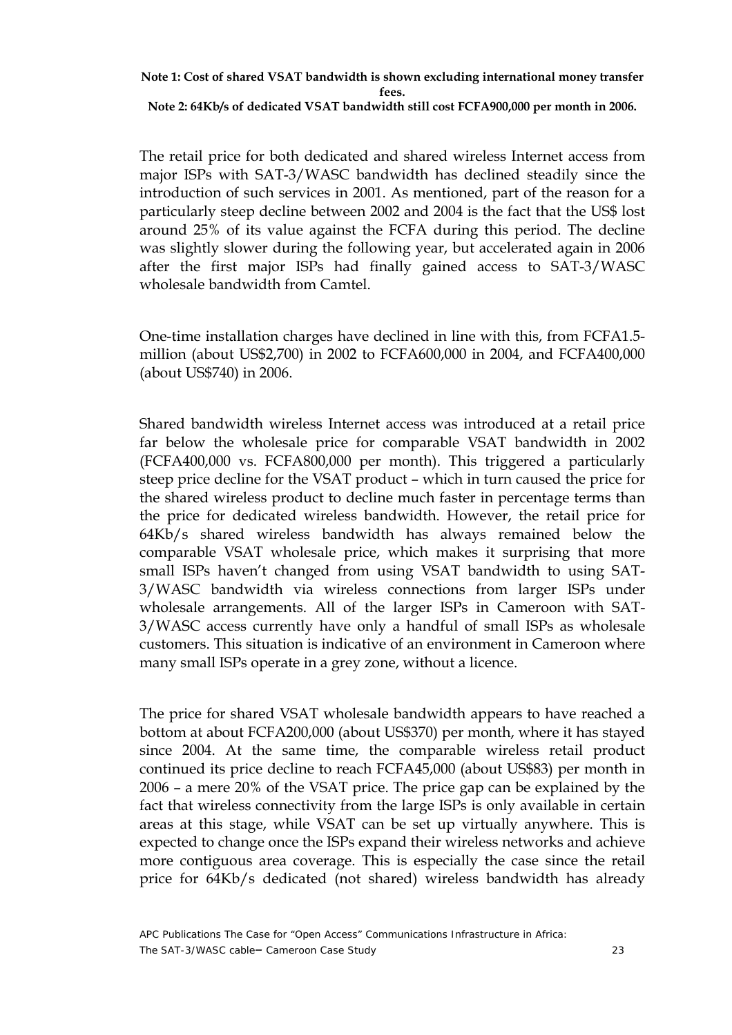#### **Note 1: Cost of shared VSAT bandwidth is shown excluding international money transfer fees. Note 2: 64Kb/s of dedicated VSAT bandwidth still cost FCFA900,000 per month in 2006.**

The retail price for both dedicated and shared wireless Internet access from major ISPs with SAT-3/WASC bandwidth has declined steadily since the introduction of such services in 2001. As mentioned, part of the reason for a particularly steep decline between 2002 and 2004 is the fact that the US\$ lost around 25% of its value against the FCFA during this period. The decline was slightly slower during the following year, but accelerated again in 2006 after the first major ISPs had finally gained access to SAT-3/WASC wholesale bandwidth from Camtel.

One-time installation charges have declined in line with this, from FCFA1.5 million (about US\$2,700) in 2002 to FCFA600,000 in 2004, and FCFA400,000 (about US\$740) in 2006.

Shared bandwidth wireless Internet access was introduced at a retail price far below the wholesale price for comparable VSAT bandwidth in 2002 (FCFA400,000 vs. FCFA800,000 per month). This triggered a particularly steep price decline for the VSAT product – which in turn caused the price for the shared wireless product to decline much faster in percentage terms than the price for dedicated wireless bandwidth. However, the retail price for 64Kb/s shared wireless bandwidth has always remained below the comparable VSAT wholesale price, which makes it surprising that more small ISPs haven't changed from using VSAT bandwidth to using SAT-3/WASC bandwidth via wireless connections from larger ISPs under wholesale arrangements. All of the larger ISPs in Cameroon with SAT-3/WASC access currently have only a handful of small ISPs as wholesale customers. This situation is indicative of an environment in Cameroon where many small ISPs operate in a grey zone, without a licence.

The price for shared VSAT wholesale bandwidth appears to have reached a bottom at about FCFA200,000 (about US\$370) per month, where it has stayed since 2004. At the same time, the comparable wireless retail product continued its price decline to reach FCFA45,000 (about US\$83) per month in 2006 – a mere 20% of the VSAT price. The price gap can be explained by the fact that wireless connectivity from the large ISPs is only available in certain areas at this stage, while VSAT can be set up virtually anywhere. This is expected to change once the ISPs expand their wireless networks and achieve more contiguous area coverage. This is especially the case since the retail price for 64Kb/s dedicated (not shared) wireless bandwidth has already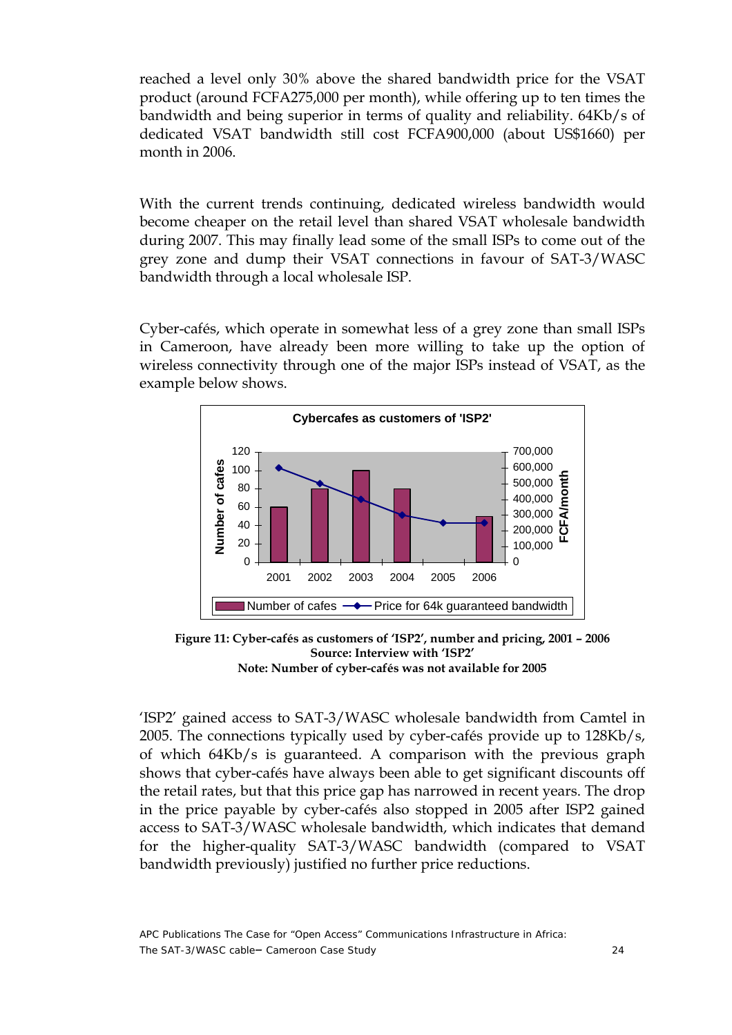<span id="page-23-0"></span>reached a level only 30% above the shared bandwidth price for the VSAT product (around FCFA275,000 per month), while offering up to ten times the bandwidth and being superior in terms of quality and reliability. 64Kb/s of dedicated VSAT bandwidth still cost FCFA900,000 (about US\$1660) per month in 2006.

With the current trends continuing, dedicated wireless bandwidth would become cheaper on the retail level than shared VSAT wholesale bandwidth during 2007. This may finally lead some of the small ISPs to come out of the grey zone and dump their VSAT connections in favour of SAT-3/WASC bandwidth through a local wholesale ISP.

Cyber-cafés, which operate in somewhat less of a grey zone than small ISPs in Cameroon, have already been more willing to take up the option of wireless connectivity through one of the major ISPs instead of VSAT, as the example below shows.



**Figure 11: Cyber-cafés as customers of 'ISP2', number and pricing, 2001 – 2006 Source: Interview with 'ISP2' Note: Number of cyber-cafés was not available for 2005** 

'ISP2' gained access to SAT-3/WASC wholesale bandwidth from Camtel in 2005. The connections typically used by cyber-cafés provide up to 128Kb/s, of which 64Kb/s is guaranteed. A comparison with the previous graph shows that cyber-cafés have always been able to get significant discounts off the retail rates, but that this price gap has narrowed in recent years. The drop in the price payable by cyber-cafés also stopped in 2005 after ISP2 gained access to SAT-3/WASC wholesale bandwidth, which indicates that demand for the higher-quality SAT-3/WASC bandwidth (compared to VSAT bandwidth previously) justified no further price reductions.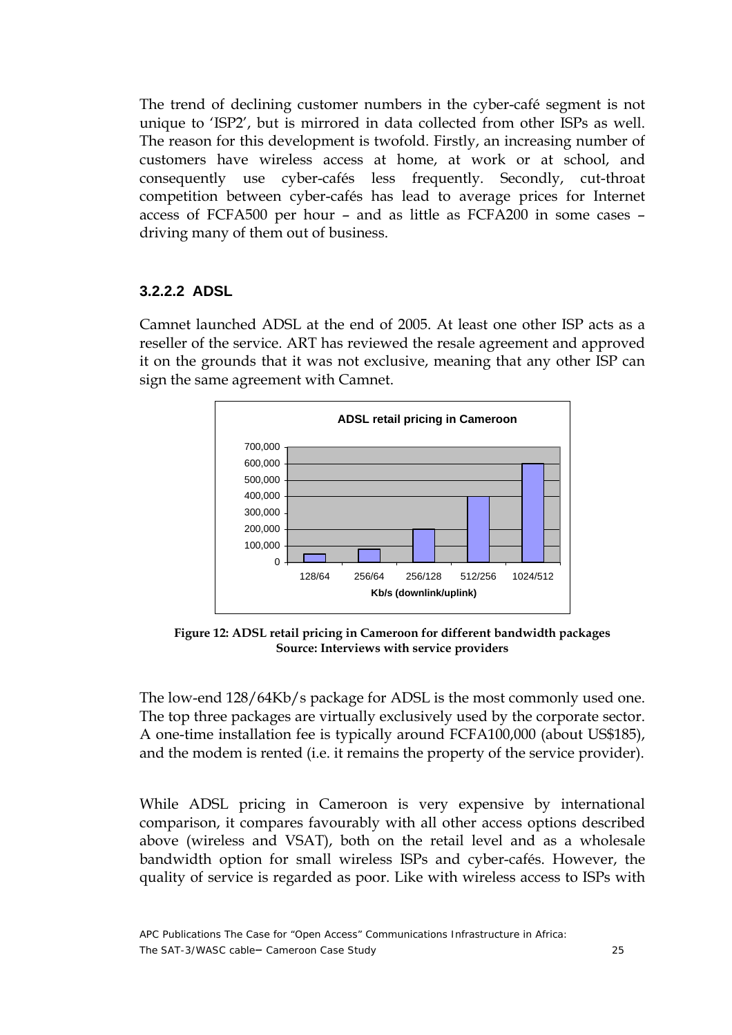<span id="page-24-0"></span>The trend of declining customer numbers in the cyber-café segment is not unique to 'ISP2', but is mirrored in data collected from other ISPs as well. The reason for this development is twofold. Firstly, an increasing number of customers have wireless access at home, at work or at school, and consequently use cyber-cafés less frequently. Secondly, cut-throat competition between cyber-cafés has lead to average prices for Internet access of FCFA500 per hour – and as little as FCFA200 in some cases – driving many of them out of business.

#### **3.2.2.2 ADSL**

Camnet launched ADSL at the end of 2005. At least one other ISP acts as a reseller of the service. ART has reviewed the resale agreement and approved it on the grounds that it was not exclusive, meaning that any other ISP can sign the same agreement with Camnet.



**Figure 12: ADSL retail pricing in Cameroon for different bandwidth packages Source: Interviews with service providers** 

The low-end 128/64Kb/s package for ADSL is the most commonly used one. The top three packages are virtually exclusively used by the corporate sector. A one-time installation fee is typically around FCFA100,000 (about US\$185), and the modem is rented (i.e. it remains the property of the service provider).

While ADSL pricing in Cameroon is very expensive by international comparison, it compares favourably with all other access options described above (wireless and VSAT), both on the retail level and as a wholesale bandwidth option for small wireless ISPs and cyber-cafés. However, the quality of service is regarded as poor. Like with wireless access to ISPs with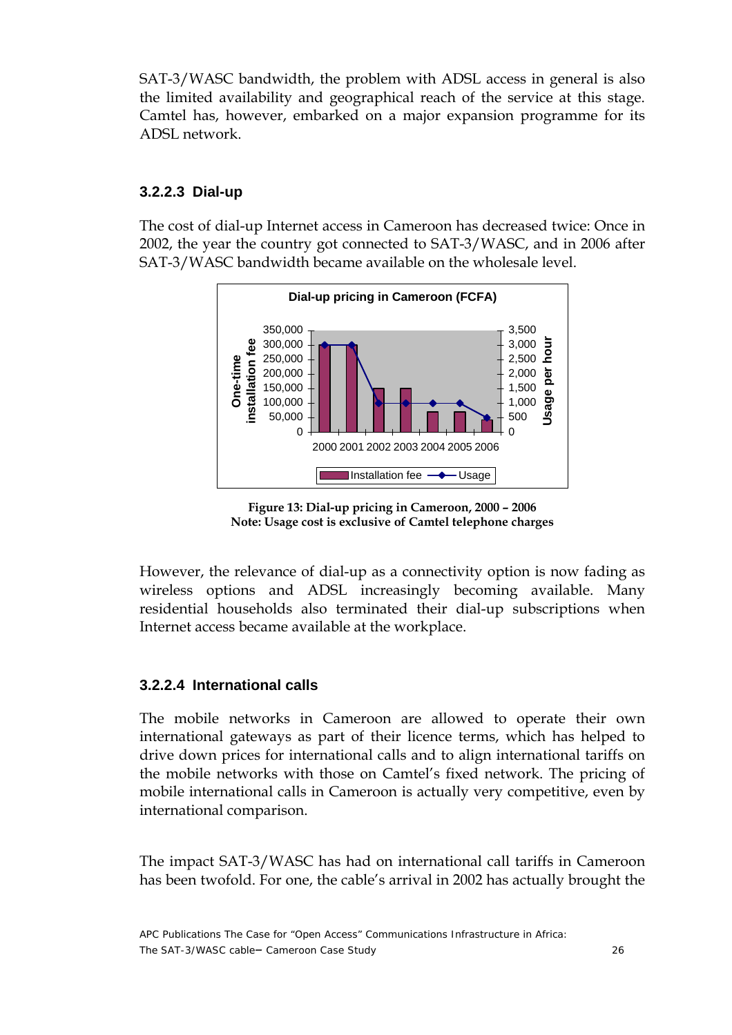<span id="page-25-0"></span>SAT-3/WASC bandwidth, the problem with ADSL access in general is also the limited availability and geographical reach of the service at this stage. Camtel has, however, embarked on a major expansion programme for its ADSL network.

#### **3.2.2.3 Dial-up**

The cost of dial-up Internet access in Cameroon has decreased twice: Once in 2002, the year the country got connected to SAT-3/WASC, and in 2006 after SAT-3/WASC bandwidth became available on the wholesale level.



**Figure 13: Dial-up pricing in Cameroon, 2000 – 2006 Note: Usage cost is exclusive of Camtel telephone charges** 

However, the relevance of dial-up as a connectivity option is now fading as wireless options and ADSL increasingly becoming available. Many residential households also terminated their dial-up subscriptions when Internet access became available at the workplace.

#### **3.2.2.4 International calls**

The mobile networks in Cameroon are allowed to operate their own international gateways as part of their licence terms, which has helped to drive down prices for international calls and to align international tariffs on the mobile networks with those on Camtel's fixed network. The pricing of mobile international calls in Cameroon is actually very competitive, even by international comparison.

The impact SAT-3/WASC has had on international call tariffs in Cameroon has been twofold. For one, the cable's arrival in 2002 has actually brought the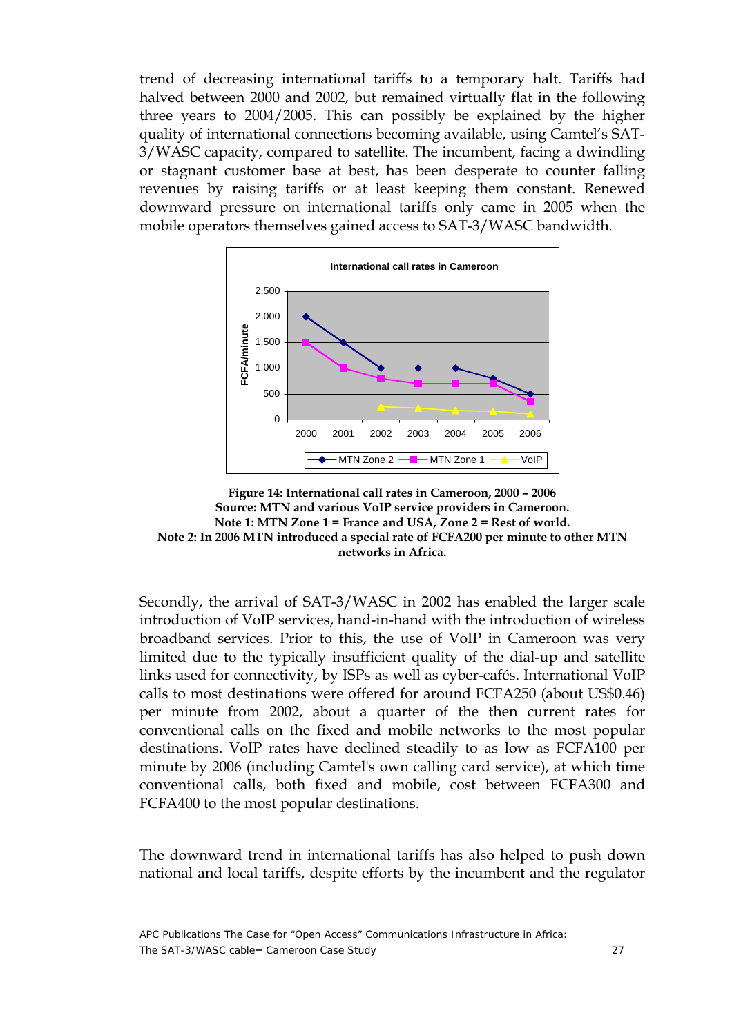<span id="page-26-0"></span>trend of decreasing international tariffs to a temporary halt. Tariffs had halved between 2000 and 2002, but remained virtually flat in the following three years to 2004/2005. This can possibly be explained by the higher quality of international connections becoming available, using Camtel's SAT-3/WASC capacity, compared to satellite. The incumbent, facing a dwindling or stagnant customer base at best, has been desperate to counter falling revenues by raising tariffs or at least keeping them constant. Renewed downward pressure on international tariffs only came in 2005 when the mobile operators themselves gained access to SAT-3/WASC bandwidth.



**Figure 14: International call rates in Cameroon, 2000 – 2006 Source: MTN and various VoIP service providers in Cameroon. Note 1: MTN Zone 1 = France and USA, Zone 2 = Rest of world. Note 2: In 2006 MTN introduced a special rate of FCFA200 per minute to other MTN networks in Africa.** 

Secondly, the arrival of SAT-3/WASC in 2002 has enabled the larger scale introduction of VoIP services, hand-in-hand with the introduction of wireless broadband services. Prior to this, the use of VoIP in Cameroon was very limited due to the typically insufficient quality of the dial-up and satellite links used for connectivity, by ISPs as well as cyber-cafés. International VoIP calls to most destinations were offered for around FCFA250 (about US\$0.46) per minute from 2002, about a quarter of the then current rates for conventional calls on the fixed and mobile networks to the most popular destinations. VoIP rates have declined steadily to as low as FCFA100 per minute by 2006 (including Camtel's own calling card service), at which time conventional calls, both fixed and mobile, cost between FCFA300 and FCFA400 to the most popular destinations.

The downward trend in international tariffs has also helped to push down national and local tariffs, despite efforts by the incumbent and the regulator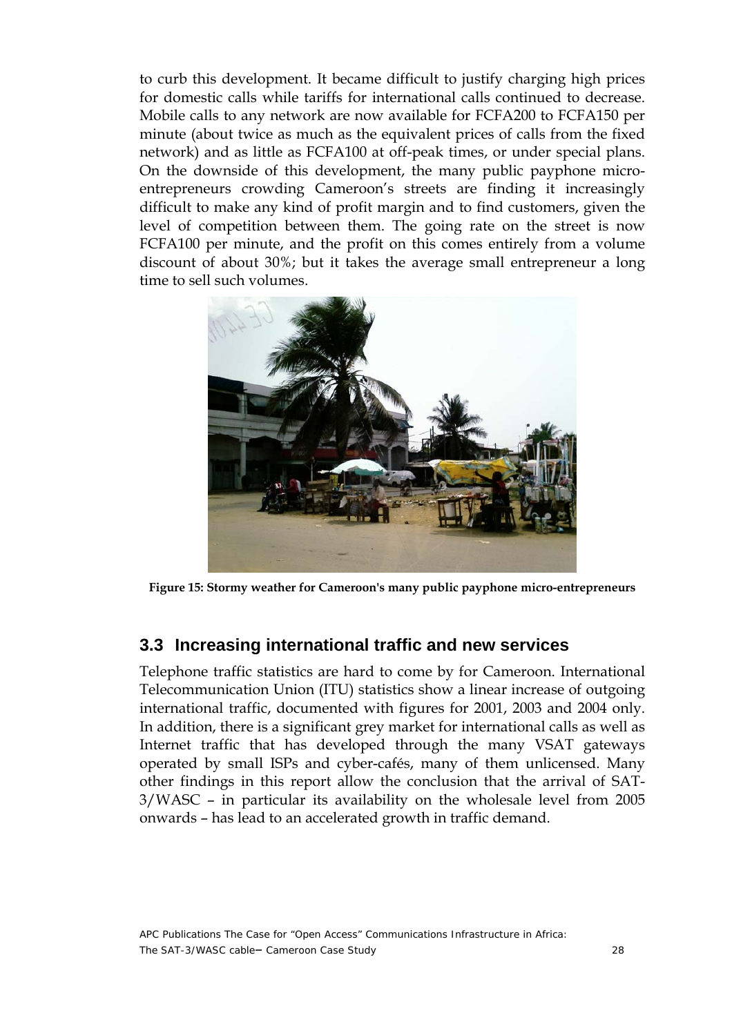<span id="page-27-0"></span>to curb this development. It became difficult to justify charging high prices for domestic calls while tariffs for international calls continued to decrease. Mobile calls to any network are now available for FCFA200 to FCFA150 per minute (about twice as much as the equivalent prices of calls from the fixed network) and as little as FCFA100 at off-peak times, or under special plans. On the downside of this development, the many public payphone microentrepreneurs crowding Cameroon's streets are finding it increasingly difficult to make any kind of profit margin and to find customers, given the level of competition between them. The going rate on the street is now FCFA100 per minute, and the profit on this comes entirely from a volume discount of about 30%; but it takes the average small entrepreneur a long time to sell such volumes.



**Figure 15: Stormy weather for Cameroon's many public payphone micro-entrepreneurs** 

#### **3.3 Increasing international traffic and new services**

Telephone traffic statistics are hard to come by for Cameroon. International Telecommunication Union (ITU) statistics show a linear increase of outgoing international traffic, documented with figures for 2001, 2003 and 2004 only. In addition, there is a significant grey market for international calls as well as Internet traffic that has developed through the many VSAT gateways operated by small ISPs and cyber-cafés, many of them unlicensed. Many other findings in this report allow the conclusion that the arrival of SAT-3/WASC – in particular its availability on the wholesale level from 2005 onwards – has lead to an accelerated growth in traffic demand.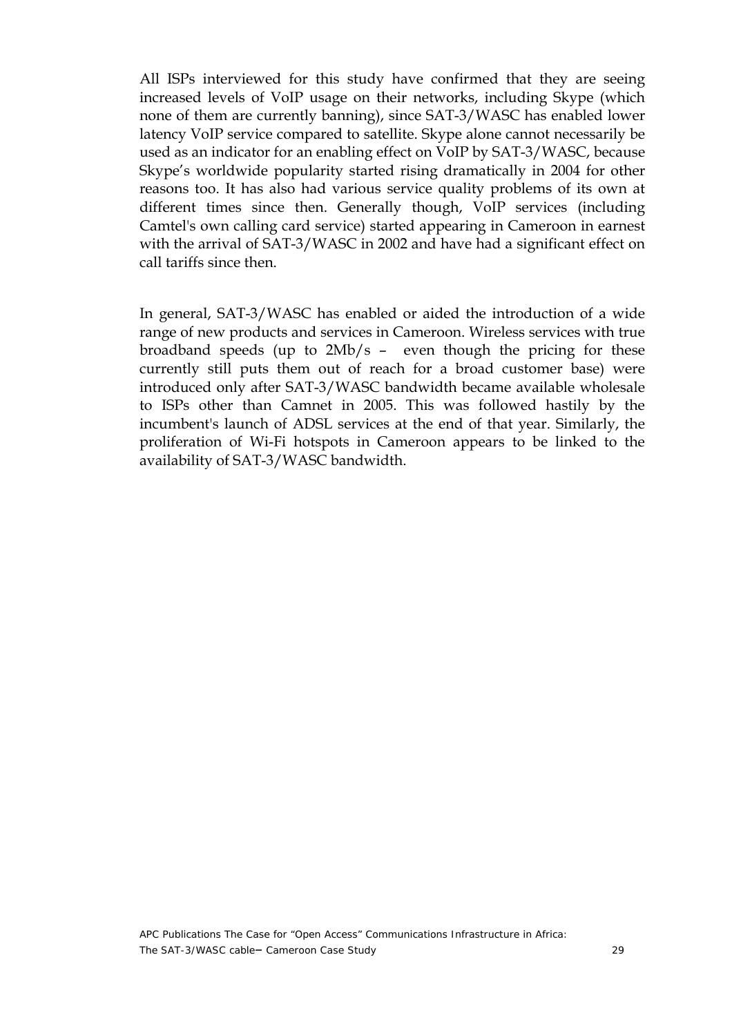All ISPs interviewed for this study have confirmed that they are seeing increased levels of VoIP usage on their networks, including Skype (which none of them are currently banning), since SAT-3/WASC has enabled lower latency VoIP service compared to satellite. Skype alone cannot necessarily be used as an indicator for an enabling effect on VoIP by SAT-3/WASC, because Skype's worldwide popularity started rising dramatically in 2004 for other reasons too. It has also had various service quality problems of its own at different times since then. Generally though, VoIP services (including Camtel's own calling card service) started appearing in Cameroon in earnest with the arrival of SAT-3/WASC in 2002 and have had a significant effect on call tariffs since then.

In general, SAT-3/WASC has enabled or aided the introduction of a wide range of new products and services in Cameroon. Wireless services with true broadband speeds (up to 2Mb/s – even though the pricing for these currently still puts them out of reach for a broad customer base) were introduced only after SAT-3/WASC bandwidth became available wholesale to ISPs other than Camnet in 2005. This was followed hastily by the incumbent's launch of ADSL services at the end of that year. Similarly, the proliferation of Wi-Fi hotspots in Cameroon appears to be linked to the availability of SAT-3/WASC bandwidth.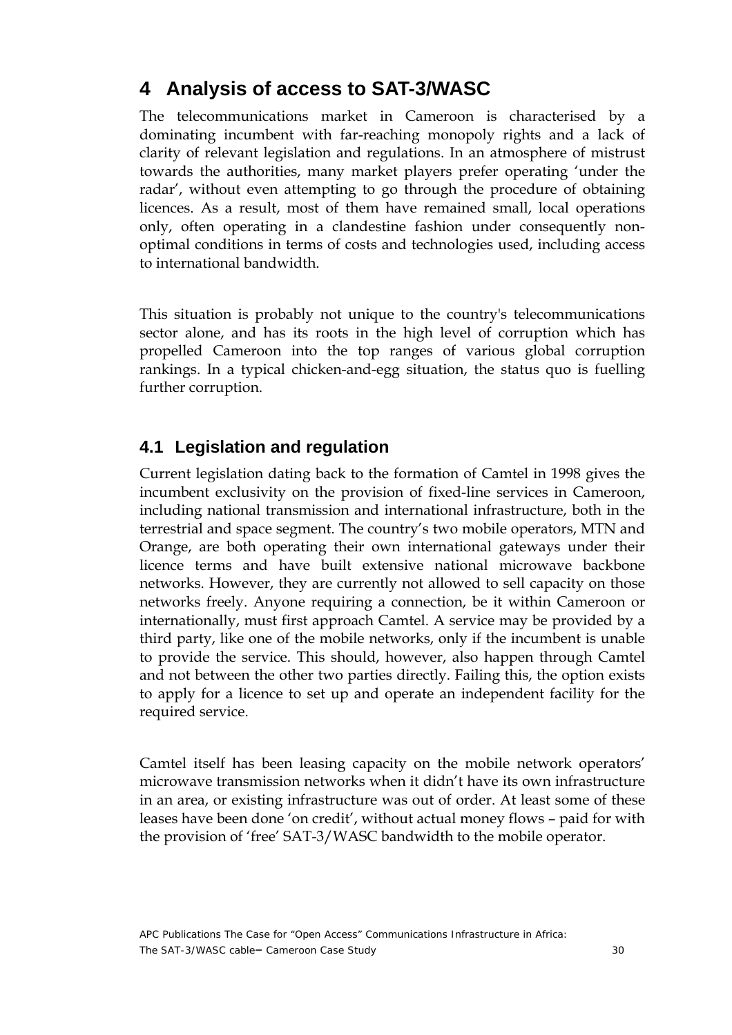## <span id="page-29-0"></span>**4 Analysis of access to SAT-3/WASC**

The telecommunications market in Cameroon is characterised by a dominating incumbent with far-reaching monopoly rights and a lack of clarity of relevant legislation and regulations. In an atmosphere of mistrust towards the authorities, many market players prefer operating 'under the radar', without even attempting to go through the procedure of obtaining licences. As a result, most of them have remained small, local operations only, often operating in a clandestine fashion under consequently nonoptimal conditions in terms of costs and technologies used, including access to international bandwidth.

This situation is probably not unique to the country's telecommunications sector alone, and has its roots in the high level of corruption which has propelled Cameroon into the top ranges of various global corruption rankings. In a typical chicken-and-egg situation, the status quo is fuelling further corruption.

### **4.1 Legislation and regulation**

Current legislation dating back to the formation of Camtel in 1998 gives the incumbent exclusivity on the provision of fixed-line services in Cameroon, including national transmission and international infrastructure, both in the terrestrial and space segment. The country's two mobile operators, MTN and Orange, are both operating their own international gateways under their licence terms and have built extensive national microwave backbone networks. However, they are currently not allowed to sell capacity on those networks freely. Anyone requiring a connection, be it within Cameroon or internationally, must first approach Camtel. A service may be provided by a third party, like one of the mobile networks, only if the incumbent is unable to provide the service. This should, however, also happen through Camtel and not between the other two parties directly. Failing this, the option exists to apply for a licence to set up and operate an independent facility for the required service.

Camtel itself has been leasing capacity on the mobile network operators' microwave transmission networks when it didn't have its own infrastructure in an area, or existing infrastructure was out of order. At least some of these leases have been done 'on credit', without actual money flows – paid for with the provision of 'free' SAT-3/WASC bandwidth to the mobile operator.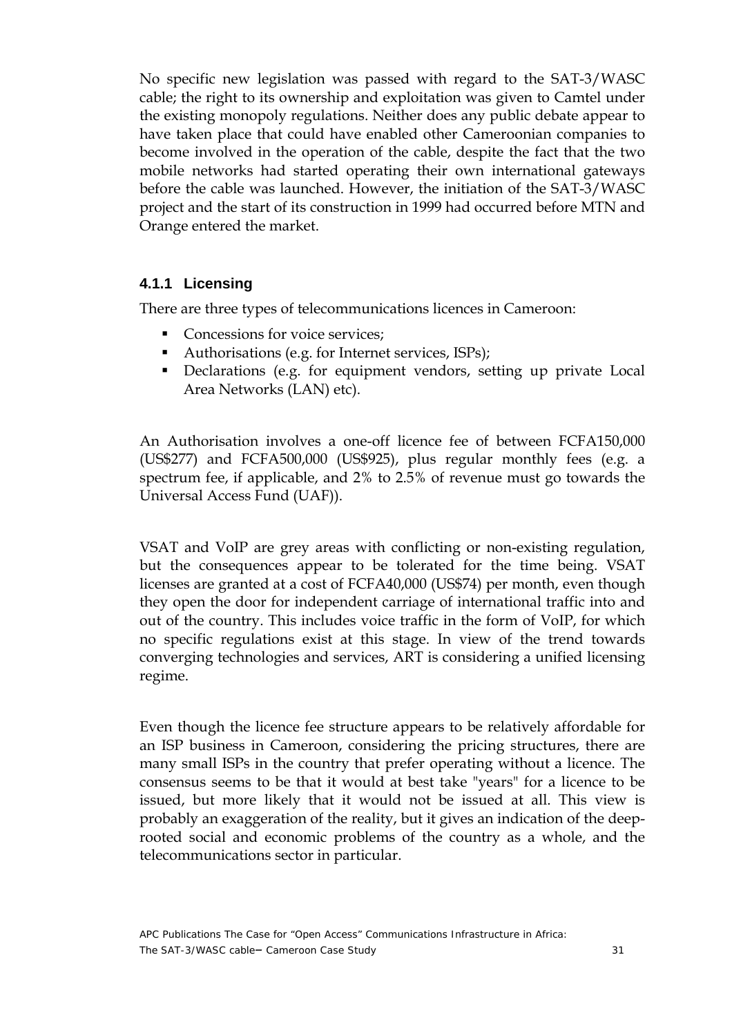<span id="page-30-0"></span>No specific new legislation was passed with regard to the SAT-3/WASC cable; the right to its ownership and exploitation was given to Camtel under the existing monopoly regulations. Neither does any public debate appear to have taken place that could have enabled other Cameroonian companies to become involved in the operation of the cable, despite the fact that the two mobile networks had started operating their own international gateways before the cable was launched. However, the initiation of the SAT-3/WASC project and the start of its construction in 1999 had occurred before MTN and Orange entered the market.

#### **4.1.1 Licensing**

There are three types of telecommunications licences in Cameroon:

- Concessions for voice services:
- Authorisations (e.g. for Internet services, ISPs);
- Declarations (e.g. for equipment vendors, setting up private Local Area Networks (LAN) etc).

An Authorisation involves a one-off licence fee of between FCFA150,000 (US\$277) and FCFA500,000 (US\$925), plus regular monthly fees (e.g. a spectrum fee, if applicable, and 2% to 2.5% of revenue must go towards the Universal Access Fund (UAF)).

VSAT and VoIP are grey areas with conflicting or non-existing regulation, but the consequences appear to be tolerated for the time being. VSAT licenses are granted at a cost of FCFA40,000 (US\$74) per month, even though they open the door for independent carriage of international traffic into and out of the country. This includes voice traffic in the form of VoIP, for which no specific regulations exist at this stage. In view of the trend towards converging technologies and services, ART is considering a unified licensing regime.

Even though the licence fee structure appears to be relatively affordable for an ISP business in Cameroon, considering the pricing structures, there are many small ISPs in the country that prefer operating without a licence. The consensus seems to be that it would at best take "years" for a licence to be issued, but more likely that it would not be issued at all. This view is probably an exaggeration of the reality, but it gives an indication of the deeprooted social and economic problems of the country as a whole, and the telecommunications sector in particular.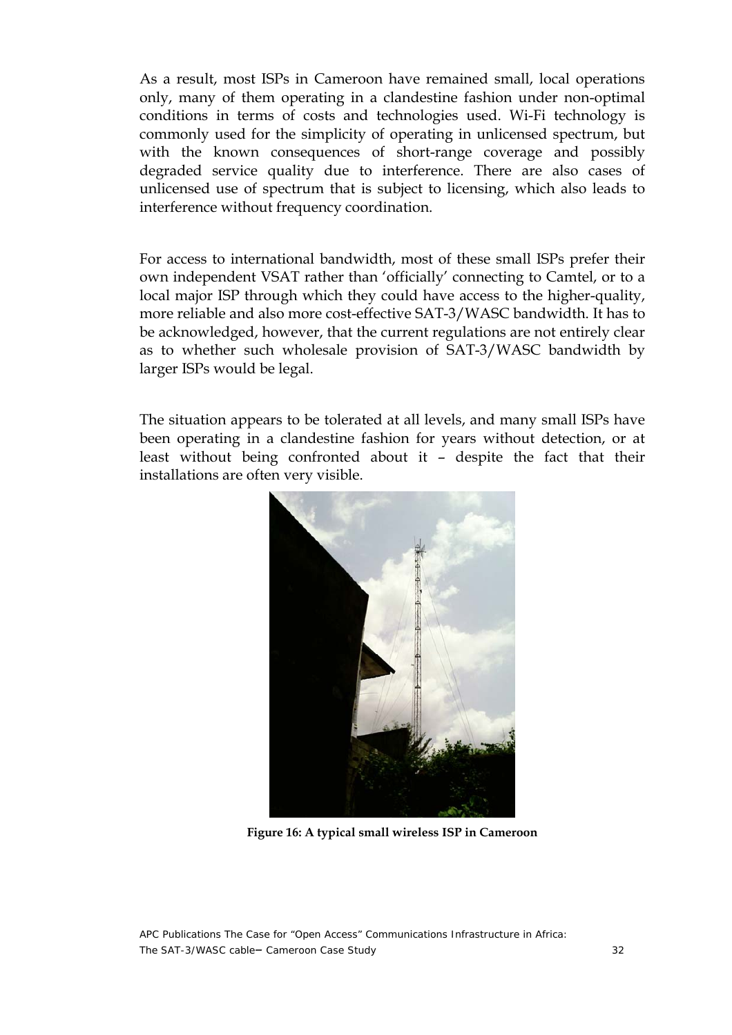<span id="page-31-0"></span>As a result, most ISPs in Cameroon have remained small, local operations only, many of them operating in a clandestine fashion under non-optimal conditions in terms of costs and technologies used. Wi-Fi technology is commonly used for the simplicity of operating in unlicensed spectrum, but with the known consequences of short-range coverage and possibly degraded service quality due to interference. There are also cases of unlicensed use of spectrum that is subject to licensing, which also leads to interference without frequency coordination.

For access to international bandwidth, most of these small ISPs prefer their own independent VSAT rather than 'officially' connecting to Camtel, or to a local major ISP through which they could have access to the higher-quality, more reliable and also more cost-effective SAT-3/WASC bandwidth. It has to be acknowledged, however, that the current regulations are not entirely clear as to whether such wholesale provision of SAT-3/WASC bandwidth by larger ISPs would be legal.

The situation appears to be tolerated at all levels, and many small ISPs have been operating in a clandestine fashion for years without detection, or at least without being confronted about it – despite the fact that their installations are often very visible.



**Figure 16: A typical small wireless ISP in Cameroon**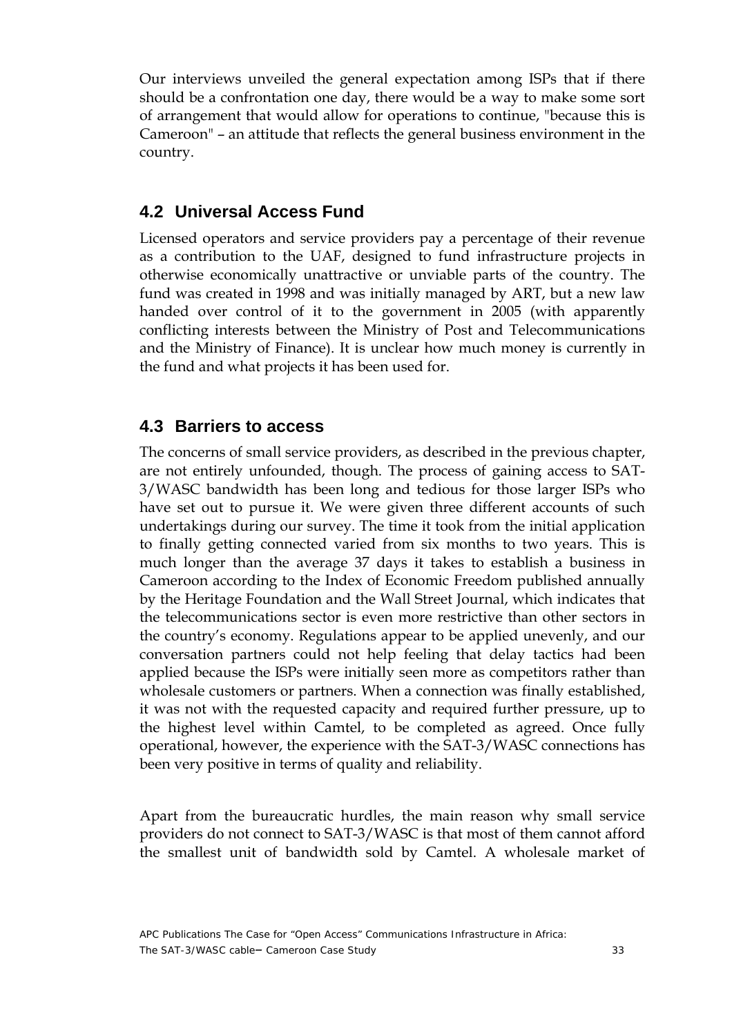<span id="page-32-0"></span>Our interviews unveiled the general expectation among ISPs that if there should be a confrontation one day, there would be a way to make some sort of arrangement that would allow for operations to continue, "because this is Cameroon" – an attitude that reflects the general business environment in the country.

### **4.2 Universal Access Fund**

Licensed operators and service providers pay a percentage of their revenue as a contribution to the UAF, designed to fund infrastructure projects in otherwise economically unattractive or unviable parts of the country. The fund was created in 1998 and was initially managed by ART, but a new law handed over control of it to the government in 2005 (with apparently conflicting interests between the Ministry of Post and Telecommunications and the Ministry of Finance). It is unclear how much money is currently in the fund and what projects it has been used for.

### **4.3 Barriers to access**

The concerns of small service providers, as described in the previous chapter, are not entirely unfounded, though. The process of gaining access to SAT-3/WASC bandwidth has been long and tedious for those larger ISPs who have set out to pursue it. We were given three different accounts of such undertakings during our survey. The time it took from the initial application to finally getting connected varied from six months to two years. This is much longer than the average 37 days it takes to establish a business in Cameroon according to the Index of Economic Freedom published annually by the Heritage Foundation and the Wall Street Journal, which indicates that the telecommunications sector is even more restrictive than other sectors in the country's economy. Regulations appear to be applied unevenly, and our conversation partners could not help feeling that delay tactics had been applied because the ISPs were initially seen more as competitors rather than wholesale customers or partners. When a connection was finally established, it was not with the requested capacity and required further pressure, up to the highest level within Camtel, to be completed as agreed. Once fully operational, however, the experience with the SAT-3/WASC connections has been very positive in terms of quality and reliability.

Apart from the bureaucratic hurdles, the main reason why small service providers do not connect to SAT-3/WASC is that most of them cannot afford the smallest unit of bandwidth sold by Camtel. A wholesale market of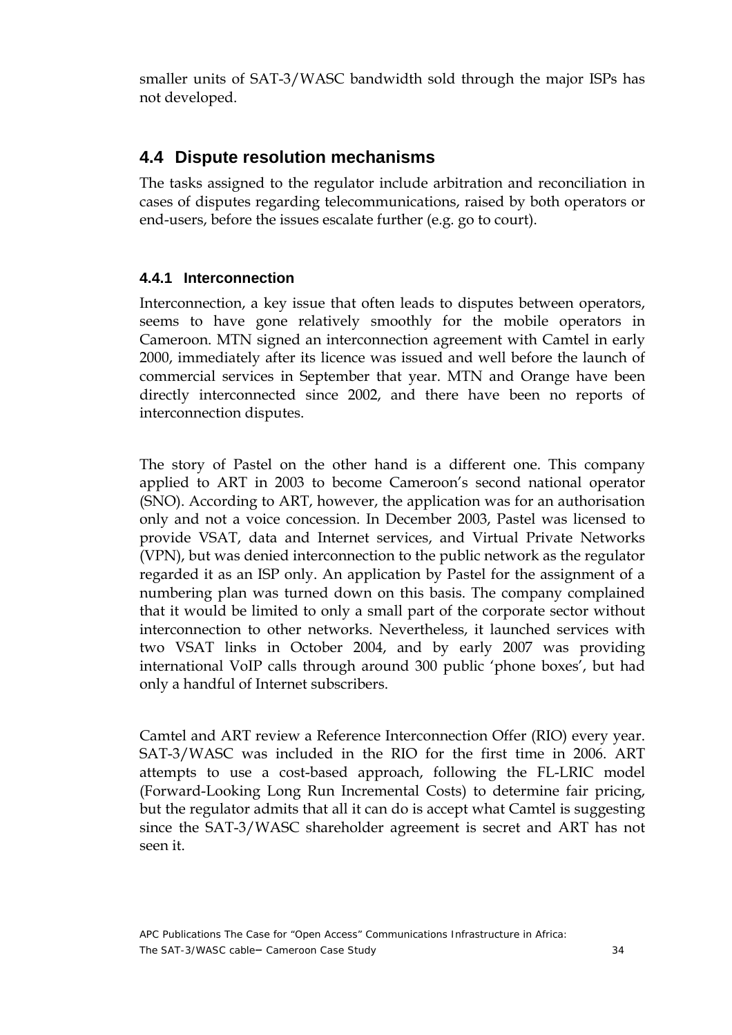<span id="page-33-0"></span>smaller units of SAT-3/WASC bandwidth sold through the major ISPs has not developed.

### **4.4 Dispute resolution mechanisms**

The tasks assigned to the regulator include arbitration and reconciliation in cases of disputes regarding telecommunications, raised by both operators or end-users, before the issues escalate further (e.g. go to court).

#### **4.4.1 Interconnection**

Interconnection, a key issue that often leads to disputes between operators, seems to have gone relatively smoothly for the mobile operators in Cameroon. MTN signed an interconnection agreement with Camtel in early 2000, immediately after its licence was issued and well before the launch of commercial services in September that year. MTN and Orange have been directly interconnected since 2002, and there have been no reports of interconnection disputes.

The story of Pastel on the other hand is a different one. This company applied to ART in 2003 to become Cameroon's second national operator (SNO). According to ART, however, the application was for an authorisation only and not a voice concession. In December 2003, Pastel was licensed to provide VSAT, data and Internet services, and Virtual Private Networks (VPN), but was denied interconnection to the public network as the regulator regarded it as an ISP only. An application by Pastel for the assignment of a numbering plan was turned down on this basis. The company complained that it would be limited to only a small part of the corporate sector without interconnection to other networks. Nevertheless, it launched services with two VSAT links in October 2004, and by early 2007 was providing international VoIP calls through around 300 public 'phone boxes', but had only a handful of Internet subscribers.

Camtel and ART review a Reference Interconnection Offer (RIO) every year. SAT-3/WASC was included in the RIO for the first time in 2006. ART attempts to use a cost-based approach, following the FL-LRIC model (Forward-Looking Long Run Incremental Costs) to determine fair pricing, but the regulator admits that all it can do is accept what Camtel is suggesting since the SAT-3/WASC shareholder agreement is secret and ART has not seen it.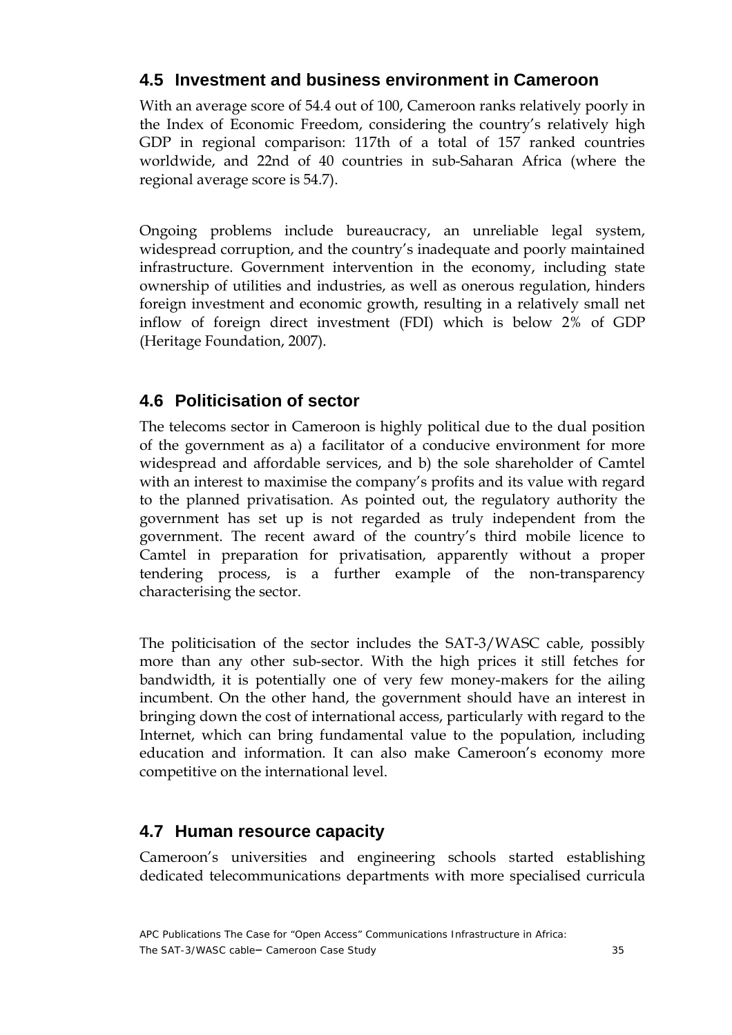### <span id="page-34-0"></span>**4.5 Investment and business environment in Cameroon**

With an average score of 54.4 out of 100, Cameroon ranks relatively poorly in the Index of Economic Freedom, considering the country's relatively high GDP in regional comparison: 117th of a total of 157 ranked countries worldwide, and 22nd of 40 countries in sub-Saharan Africa (where the regional average score is 54.7).

Ongoing problems include bureaucracy, an unreliable legal system, widespread corruption, and the country's inadequate and poorly maintained infrastructure. Government intervention in the economy, including state ownership of utilities and industries, as well as onerous regulation, hinders foreign investment and economic growth, resulting in a relatively small net inflow of foreign direct investment (FDI) which is below 2% of GDP (Heritage Foundation, 2007).

### **4.6 Politicisation of sector**

The telecoms sector in Cameroon is highly political due to the dual position of the government as a) a facilitator of a conducive environment for more widespread and affordable services, and b) the sole shareholder of Camtel with an interest to maximise the company's profits and its value with regard to the planned privatisation. As pointed out, the regulatory authority the government has set up is not regarded as truly independent from the government. The recent award of the country's third mobile licence to Camtel in preparation for privatisation, apparently without a proper tendering process, is a further example of the non-transparency characterising the sector.

The politicisation of the sector includes the SAT-3/WASC cable, possibly more than any other sub-sector. With the high prices it still fetches for bandwidth, it is potentially one of very few money-makers for the ailing incumbent. On the other hand, the government should have an interest in bringing down the cost of international access, particularly with regard to the Internet, which can bring fundamental value to the population, including education and information. It can also make Cameroon's economy more competitive on the international level.

### **4.7 Human resource capacity**

Cameroon's universities and engineering schools started establishing dedicated telecommunications departments with more specialised curricula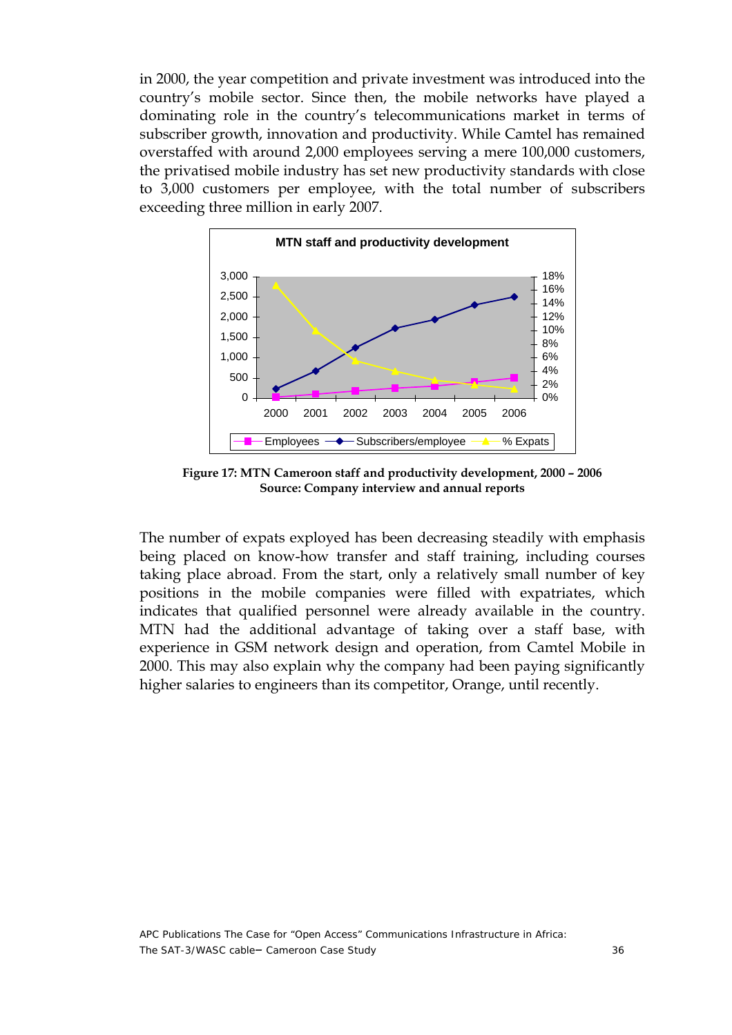<span id="page-35-0"></span>in 2000, the year competition and private investment was introduced into the country's mobile sector. Since then, the mobile networks have played a dominating role in the country's telecommunications market in terms of subscriber growth, innovation and productivity. While Camtel has remained overstaffed with around 2,000 employees serving a mere 100,000 customers, the privatised mobile industry has set new productivity standards with close to 3,000 customers per employee, with the total number of subscribers exceeding three million in early 2007.



**Figure 17: MTN Cameroon staff and productivity development, 2000 – 2006 Source: Company interview and annual reports** 

The number of expats exployed has been decreasing steadily with emphasis being placed on know-how transfer and staff training, including courses taking place abroad. From the start, only a relatively small number of key positions in the mobile companies were filled with expatriates, which indicates that qualified personnel were already available in the country. MTN had the additional advantage of taking over a staff base, with experience in GSM network design and operation, from Camtel Mobile in 2000. This may also explain why the company had been paying significantly higher salaries to engineers than its competitor, Orange, until recently.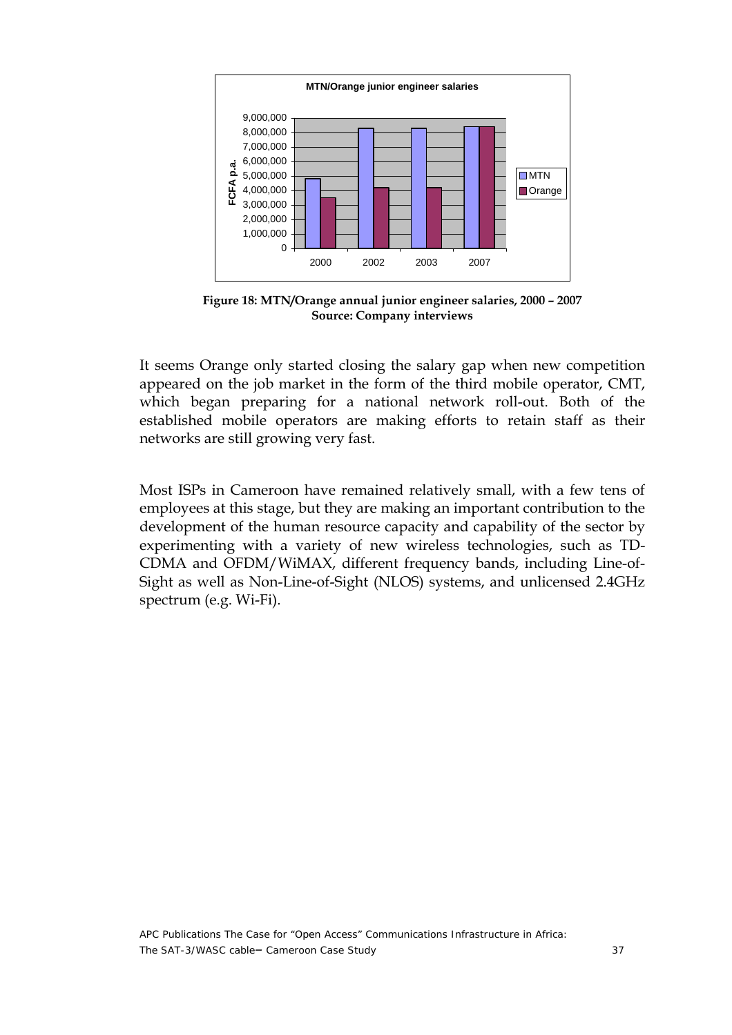<span id="page-36-0"></span>

**Figure 18: MTN/Orange annual junior engineer salaries, 2000 – 2007 Source: Company interviews** 

It seems Orange only started closing the salary gap when new competition appeared on the job market in the form of the third mobile operator, CMT, which began preparing for a national network roll-out. Both of the established mobile operators are making efforts to retain staff as their networks are still growing very fast.

Most ISPs in Cameroon have remained relatively small, with a few tens of employees at this stage, but they are making an important contribution to the development of the human resource capacity and capability of the sector by experimenting with a variety of new wireless technologies, such as TD-CDMA and OFDM/WiMAX, different frequency bands, including Line-of-Sight as well as Non-Line-of-Sight (NLOS) systems, and unlicensed 2.4GHz spectrum (e.g. Wi-Fi).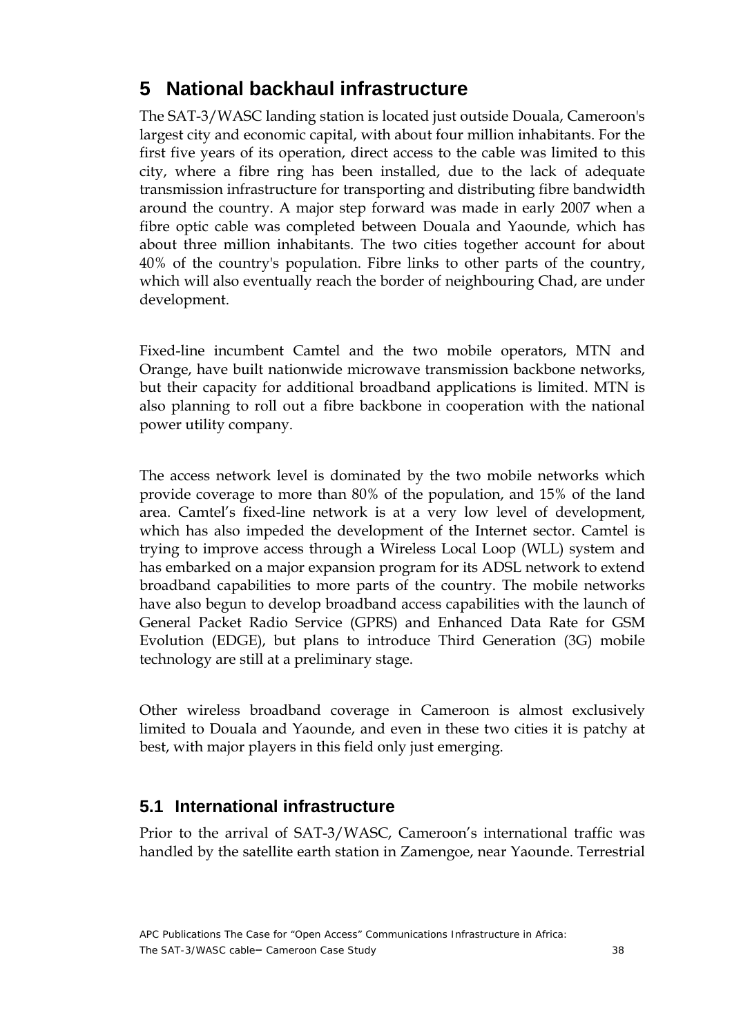## <span id="page-37-0"></span>**5 National backhaul infrastructure**

The SAT-3/WASC landing station is located just outside Douala, Cameroon's largest city and economic capital, with about four million inhabitants. For the first five years of its operation, direct access to the cable was limited to this city, where a fibre ring has been installed, due to the lack of adequate transmission infrastructure for transporting and distributing fibre bandwidth around the country. A major step forward was made in early 2007 when a fibre optic cable was completed between Douala and Yaounde, which has about three million inhabitants. The two cities together account for about 40% of the country's population. Fibre links to other parts of the country, which will also eventually reach the border of neighbouring Chad, are under development.

Fixed-line incumbent Camtel and the two mobile operators, MTN and Orange, have built nationwide microwave transmission backbone networks, but their capacity for additional broadband applications is limited. MTN is also planning to roll out a fibre backbone in cooperation with the national power utility company.

The access network level is dominated by the two mobile networks which provide coverage to more than 80% of the population, and 15% of the land area. Camtel's fixed-line network is at a very low level of development, which has also impeded the development of the Internet sector. Camtel is trying to improve access through a Wireless Local Loop (WLL) system and has embarked on a major expansion program for its ADSL network to extend broadband capabilities to more parts of the country. The mobile networks have also begun to develop broadband access capabilities with the launch of General Packet Radio Service (GPRS) and Enhanced Data Rate for GSM Evolution (EDGE), but plans to introduce Third Generation (3G) mobile technology are still at a preliminary stage.

Other wireless broadband coverage in Cameroon is almost exclusively limited to Douala and Yaounde, and even in these two cities it is patchy at best, with major players in this field only just emerging.

### **5.1 International infrastructure**

Prior to the arrival of SAT-3/WASC, Cameroon's international traffic was handled by the satellite earth station in Zamengoe, near Yaounde. Terrestrial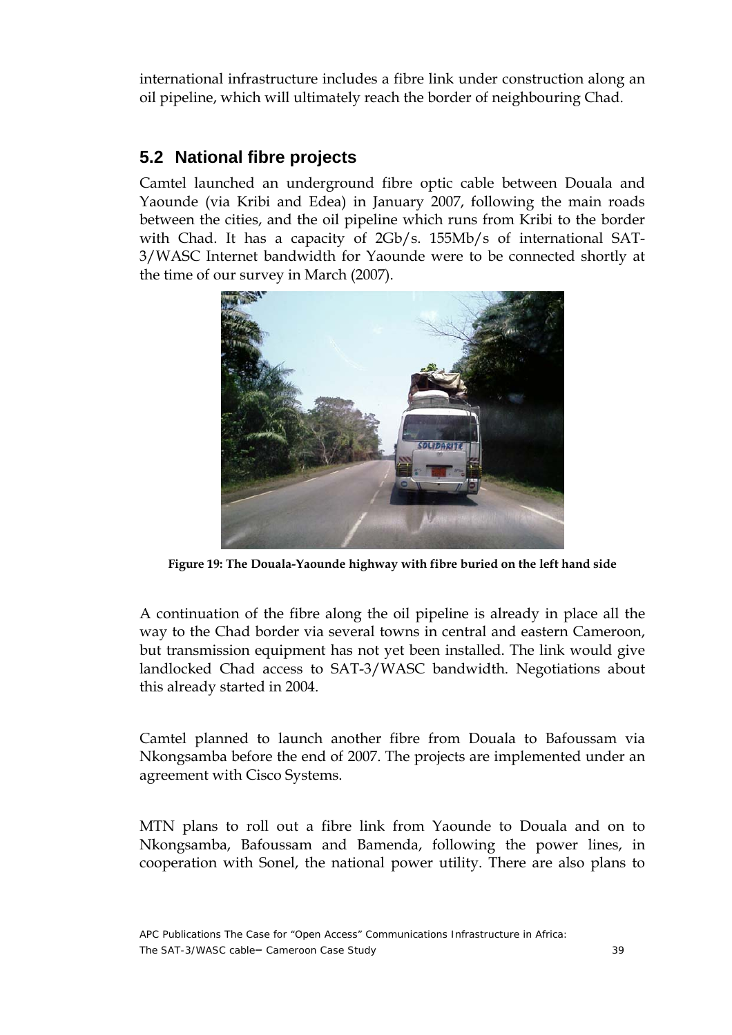<span id="page-38-0"></span>international infrastructure includes a fibre link under construction along an oil pipeline, which will ultimately reach the border of neighbouring Chad.

## **5.2 National fibre projects**

Camtel launched an underground fibre optic cable between Douala and Yaounde (via Kribi and Edea) in January 2007, following the main roads between the cities, and the oil pipeline which runs from Kribi to the border with Chad. It has a capacity of 2Gb/s. 155Mb/s of international SAT-3/WASC Internet bandwidth for Yaounde were to be connected shortly at the time of our survey in March (2007).



**Figure 19: The Douala-Yaounde highway with fibre buried on the left hand side** 

A continuation of the fibre along the oil pipeline is already in place all the way to the Chad border via several towns in central and eastern Cameroon, but transmission equipment has not yet been installed. The link would give landlocked Chad access to SAT-3/WASC bandwidth. Negotiations about this already started in 2004.

Camtel planned to launch another fibre from Douala to Bafoussam via Nkongsamba before the end of 2007. The projects are implemented under an agreement with Cisco Systems.

MTN plans to roll out a fibre link from Yaounde to Douala and on to Nkongsamba, Bafoussam and Bamenda, following the power lines, in cooperation with Sonel, the national power utility. There are also plans to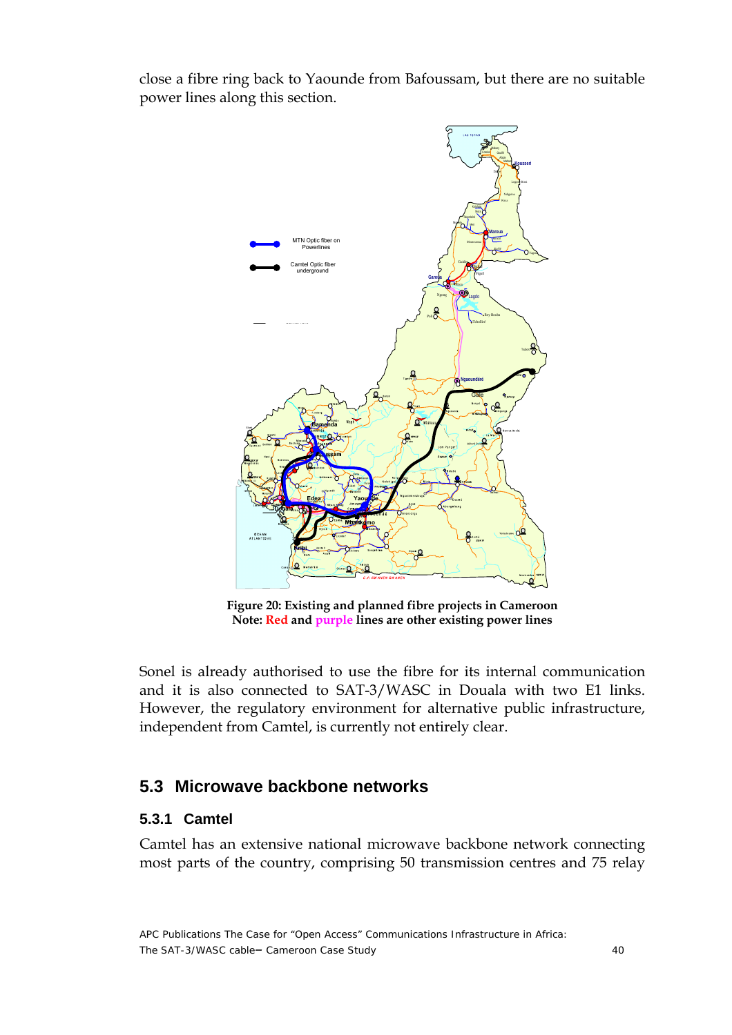<span id="page-39-0"></span>close a fibre ring back to Yaounde from Bafoussam, but there are no suitable power lines along this section.



**Figure 20: Existing and planned fibre projects in Cameroon Note: Red and purple lines are other existing power lines** 

Sonel is already authorised to use the fibre for its internal communication and it is also connected to SAT-3/WASC in Douala with two E1 links. However, the regulatory environment for alternative public infrastructure, independent from Camtel, is currently not entirely clear.

### **5.3 Microwave backbone networks**

#### **5.3.1 Camtel**

Camtel has an extensive national microwave backbone network connecting most parts of the country, comprising 50 transmission centres and 75 relay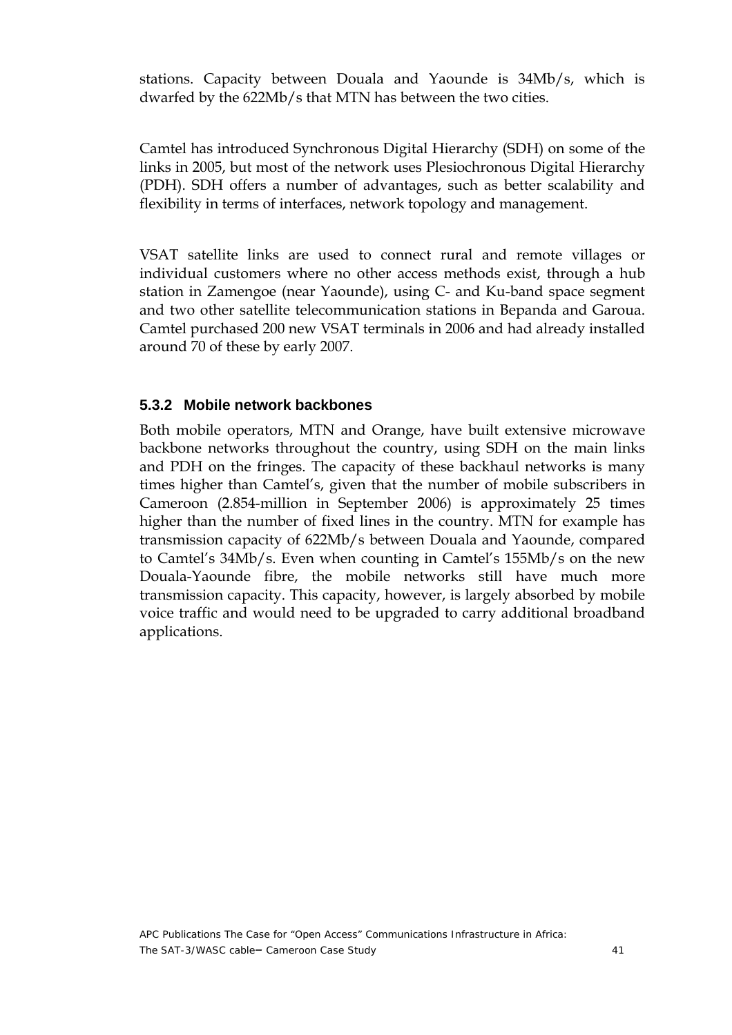<span id="page-40-0"></span>stations. Capacity between Douala and Yaounde is 34Mb/s, which is dwarfed by the 622Mb/s that MTN has between the two cities.

Camtel has introduced Synchronous Digital Hierarchy (SDH) on some of the links in 2005, but most of the network uses Plesiochronous Digital Hierarchy (PDH). SDH offers a number of advantages, such as better scalability and flexibility in terms of interfaces, network topology and management.

VSAT satellite links are used to connect rural and remote villages or individual customers where no other access methods exist, through a hub station in Zamengoe (near Yaounde), using C- and Ku-band space segment and two other satellite telecommunication stations in Bepanda and Garoua. Camtel purchased 200 new VSAT terminals in 2006 and had already installed around 70 of these by early 2007.

#### **5.3.2 Mobile network backbones**

Both mobile operators, MTN and Orange, have built extensive microwave backbone networks throughout the country, using SDH on the main links and PDH on the fringes. The capacity of these backhaul networks is many times higher than Camtel's, given that the number of mobile subscribers in Cameroon (2.854-million in September 2006) is approximately 25 times higher than the number of fixed lines in the country. MTN for example has transmission capacity of 622Mb/s between Douala and Yaounde, compared to Camtel's 34Mb/s. Even when counting in Camtel's 155Mb/s on the new Douala-Yaounde fibre, the mobile networks still have much more transmission capacity. This capacity, however, is largely absorbed by mobile voice traffic and would need to be upgraded to carry additional broadband applications.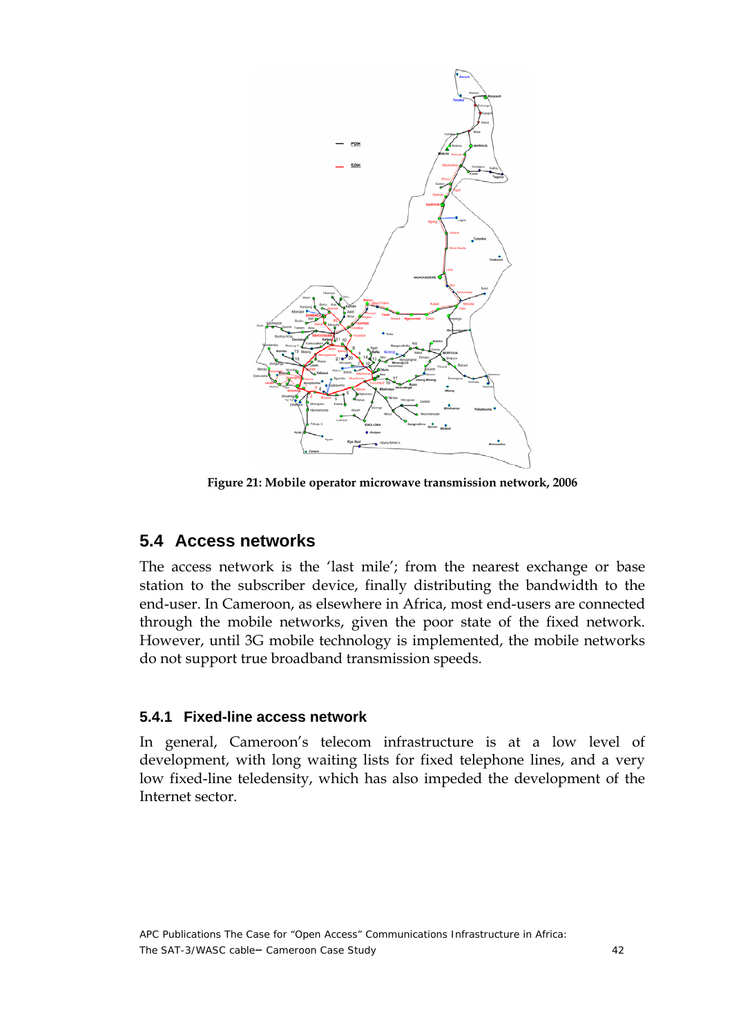<span id="page-41-0"></span>

**Figure 21: Mobile operator microwave transmission network, 2006** 

### **5.4 Access networks**

The access network is the 'last mile'; from the nearest exchange or base station to the subscriber device, finally distributing the bandwidth to the end-user. In Cameroon, as elsewhere in Africa, most end-users are connected through the mobile networks, given the poor state of the fixed network. However, until 3G mobile technology is implemented, the mobile networks do not support true broadband transmission speeds.

#### **5.4.1 Fixed-line access network**

In general, Cameroon's telecom infrastructure is at a low level of development, with long waiting lists for fixed telephone lines, and a very low fixed-line teledensity, which has also impeded the development of the Internet sector.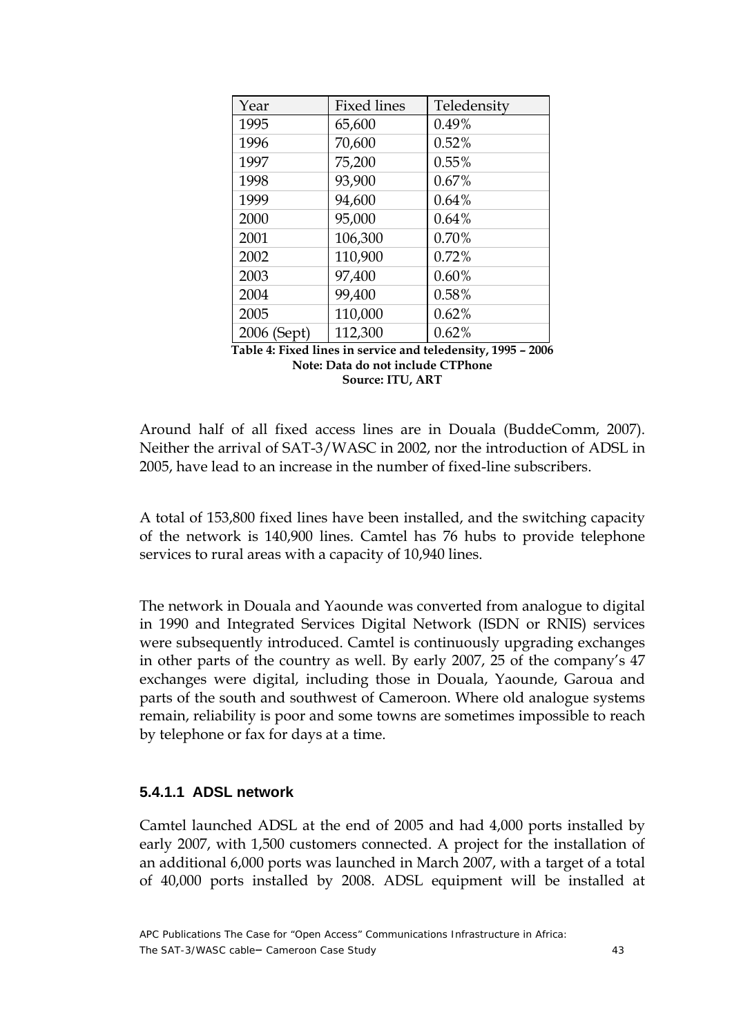<span id="page-42-0"></span>

| Year        | <b>Fixed lines</b> | Teledensity |
|-------------|--------------------|-------------|
| 1995        | 65,600             | 0.49%       |
| 1996        | 70,600             | 0.52%       |
| 1997        | 75,200             | 0.55%       |
| 1998        | 93,900             | 0.67%       |
| 1999        | 94,600             | 0.64%       |
| 2000        | 95,000             | $0.64\%$    |
| 2001        | 106,300            | 0.70%       |
| 2002        | 110,900            | 0.72%       |
| 2003        | 97,400             | $0.60\%$    |
| 2004        | 99,400             | 0.58%       |
| 2005        | 110,000            | 0.62%       |
| 2006 (Sept) | 112,300            | 0.62%       |

| Table 4: Fixed lines in service and teledensity, 1995 – 2006 |
|--------------------------------------------------------------|
| Note: Data do not include CTPhone                            |
| <b>Source: ITU, ART</b>                                      |

Around half of all fixed access lines are in Douala (BuddeComm, 2007). Neither the arrival of SAT-3/WASC in 2002, nor the introduction of ADSL in 2005, have lead to an increase in the number of fixed-line subscribers.

A total of 153,800 fixed lines have been installed, and the switching capacity of the network is 140,900 lines. Camtel has 76 hubs to provide telephone services to rural areas with a capacity of 10,940 lines.

The network in Douala and Yaounde was converted from analogue to digital in 1990 and Integrated Services Digital Network (ISDN or RNIS) services were subsequently introduced. Camtel is continuously upgrading exchanges in other parts of the country as well. By early 2007, 25 of the company's 47 exchanges were digital, including those in Douala, Yaounde, Garoua and parts of the south and southwest of Cameroon. Where old analogue systems remain, reliability is poor and some towns are sometimes impossible to reach by telephone or fax for days at a time.

#### **5.4.1.1 ADSL network**

Camtel launched ADSL at the end of 2005 and had 4,000 ports installed by early 2007, with 1,500 customers connected. A project for the installation of an additional 6,000 ports was launched in March 2007, with a target of a total of 40,000 ports installed by 2008. ADSL equipment will be installed at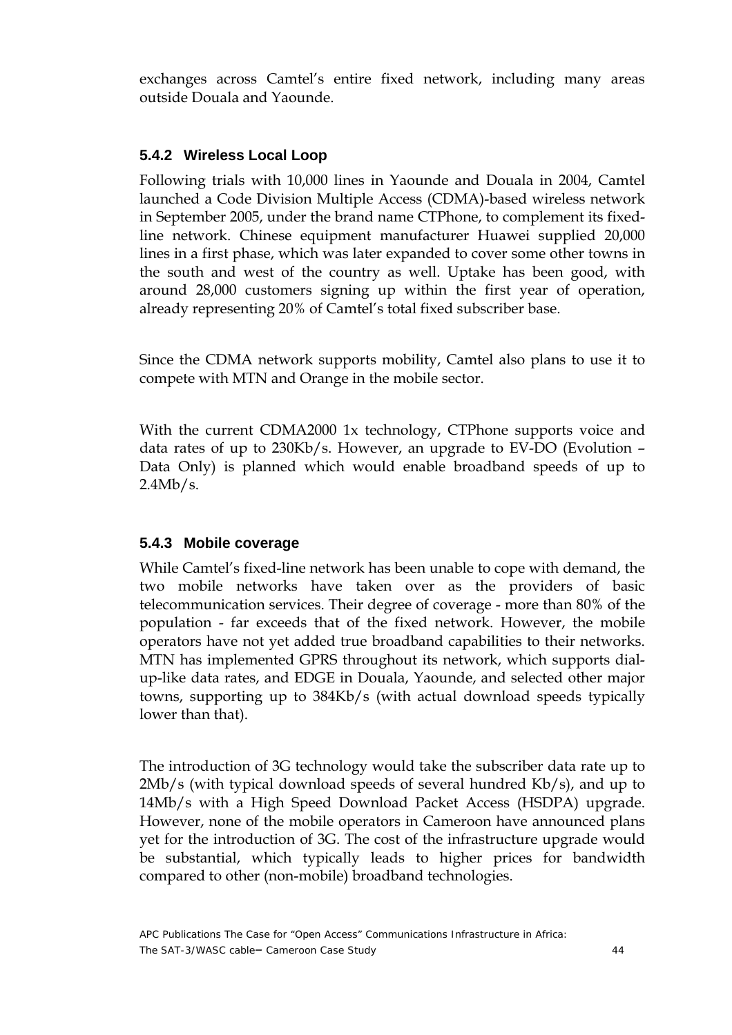<span id="page-43-0"></span>exchanges across Camtel's entire fixed network, including many areas outside Douala and Yaounde.

#### **5.4.2 Wireless Local Loop**

Following trials with 10,000 lines in Yaounde and Douala in 2004, Camtel launched a Code Division Multiple Access (CDMA)-based wireless network in September 2005, under the brand name CTPhone, to complement its fixedline network. Chinese equipment manufacturer Huawei supplied 20,000 lines in a first phase, which was later expanded to cover some other towns in the south and west of the country as well. Uptake has been good, with around 28,000 customers signing up within the first year of operation, already representing 20% of Camtel's total fixed subscriber base.

Since the CDMA network supports mobility, Camtel also plans to use it to compete with MTN and Orange in the mobile sector.

With the current CDMA2000 1x technology, CTPhone supports voice and data rates of up to 230Kb/s. However, an upgrade to EV-DO (Evolution – Data Only) is planned which would enable broadband speeds of up to 2.4Mb/s.

#### **5.4.3 Mobile coverage**

While Camtel's fixed-line network has been unable to cope with demand, the two mobile networks have taken over as the providers of basic telecommunication services. Their degree of coverage - more than 80% of the population - far exceeds that of the fixed network. However, the mobile operators have not yet added true broadband capabilities to their networks. MTN has implemented GPRS throughout its network, which supports dialup-like data rates, and EDGE in Douala, Yaounde, and selected other major towns, supporting up to 384Kb/s (with actual download speeds typically lower than that).

The introduction of 3G technology would take the subscriber data rate up to 2Mb/s (with typical download speeds of several hundred Kb/s), and up to 14Mb/s with a High Speed Download Packet Access (HSDPA) upgrade. However, none of the mobile operators in Cameroon have announced plans yet for the introduction of 3G. The cost of the infrastructure upgrade would be substantial, which typically leads to higher prices for bandwidth compared to other (non-mobile) broadband technologies.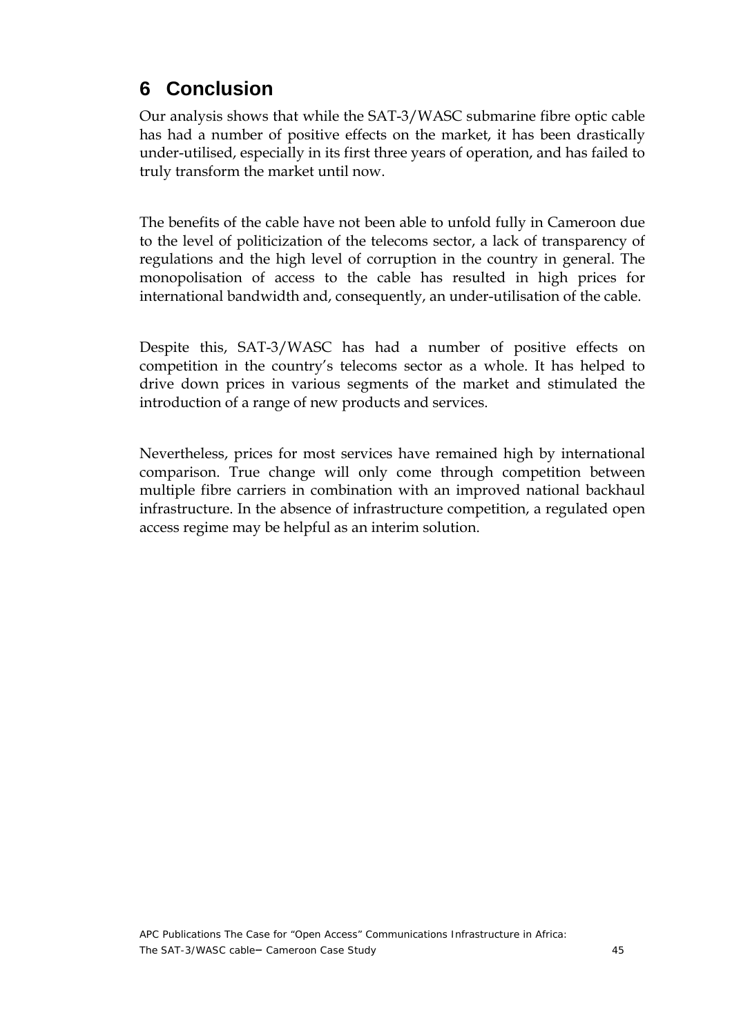## <span id="page-44-0"></span>**6 Conclusion**

Our analysis shows that while the SAT-3/WASC submarine fibre optic cable has had a number of positive effects on the market, it has been drastically under-utilised, especially in its first three years of operation, and has failed to truly transform the market until now.

The benefits of the cable have not been able to unfold fully in Cameroon due to the level of politicization of the telecoms sector, a lack of transparency of regulations and the high level of corruption in the country in general. The monopolisation of access to the cable has resulted in high prices for international bandwidth and, consequently, an under-utilisation of the cable.

Despite this, SAT-3/WASC has had a number of positive effects on competition in the country's telecoms sector as a whole. It has helped to drive down prices in various segments of the market and stimulated the introduction of a range of new products and services.

Nevertheless, prices for most services have remained high by international comparison. True change will only come through competition between multiple fibre carriers in combination with an improved national backhaul infrastructure. In the absence of infrastructure competition, a regulated open access regime may be helpful as an interim solution.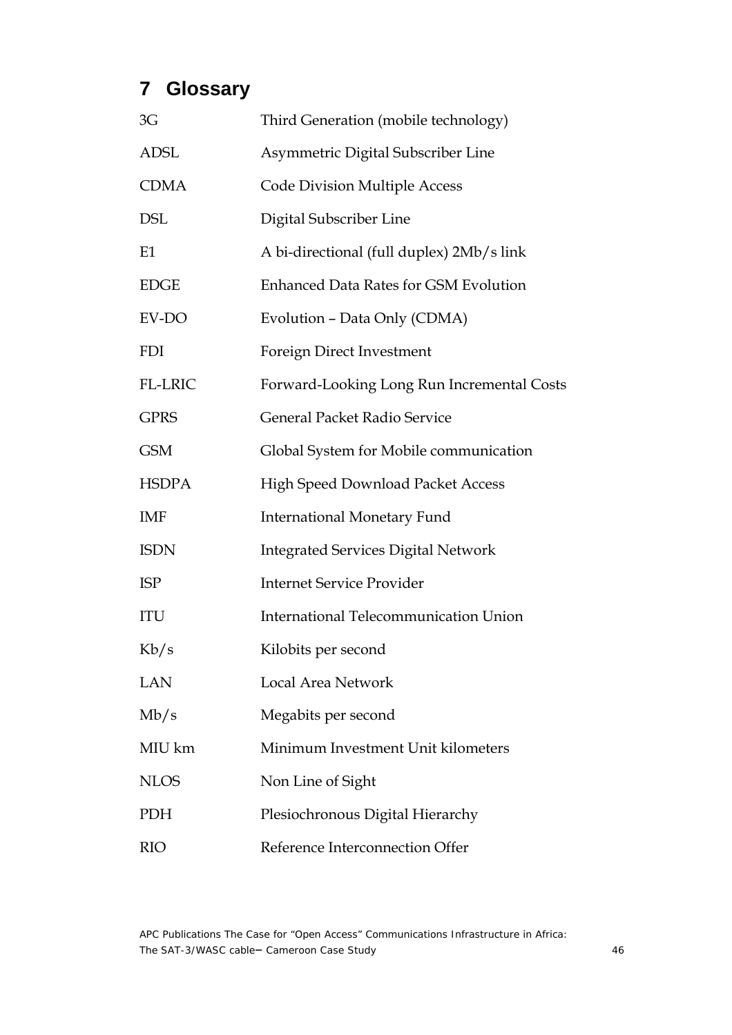## <span id="page-45-0"></span>**7 Glossary**

| 3G           | Third Generation (mobile technology)         |
|--------------|----------------------------------------------|
| <b>ADSL</b>  | Asymmetric Digital Subscriber Line           |
| <b>CDMA</b>  | <b>Code Division Multiple Access</b>         |
| <b>DSL</b>   | Digital Subscriber Line                      |
| E1           | A bi-directional (full duplex) 2Mb/s link    |
| <b>EDGE</b>  | <b>Enhanced Data Rates for GSM Evolution</b> |
| EV-DO        | Evolution - Data Only (CDMA)                 |
| <b>FDI</b>   | Foreign Direct Investment                    |
| FL-LRIC      | Forward-Looking Long Run Incremental Costs   |
| <b>GPRS</b>  | General Packet Radio Service                 |
| <b>GSM</b>   | Global System for Mobile communication       |
| <b>HSDPA</b> | <b>High Speed Download Packet Access</b>     |
| <b>IMF</b>   | <b>International Monetary Fund</b>           |
| <b>ISDN</b>  | <b>Integrated Services Digital Network</b>   |
| <b>ISP</b>   | <b>Internet Service Provider</b>             |
| ITU          | <b>International Telecommunication Union</b> |
| Kb/s         | Kilobits per second                          |
| <b>LAN</b>   | Local Area Network                           |
| Mb/s         | Megabits per second                          |
| MIU km       | Minimum Investment Unit kilometers           |
| <b>NLOS</b>  | Non Line of Sight                            |
| <b>PDH</b>   | Plesiochronous Digital Hierarchy             |
| <b>RIO</b>   | Reference Interconnection Offer              |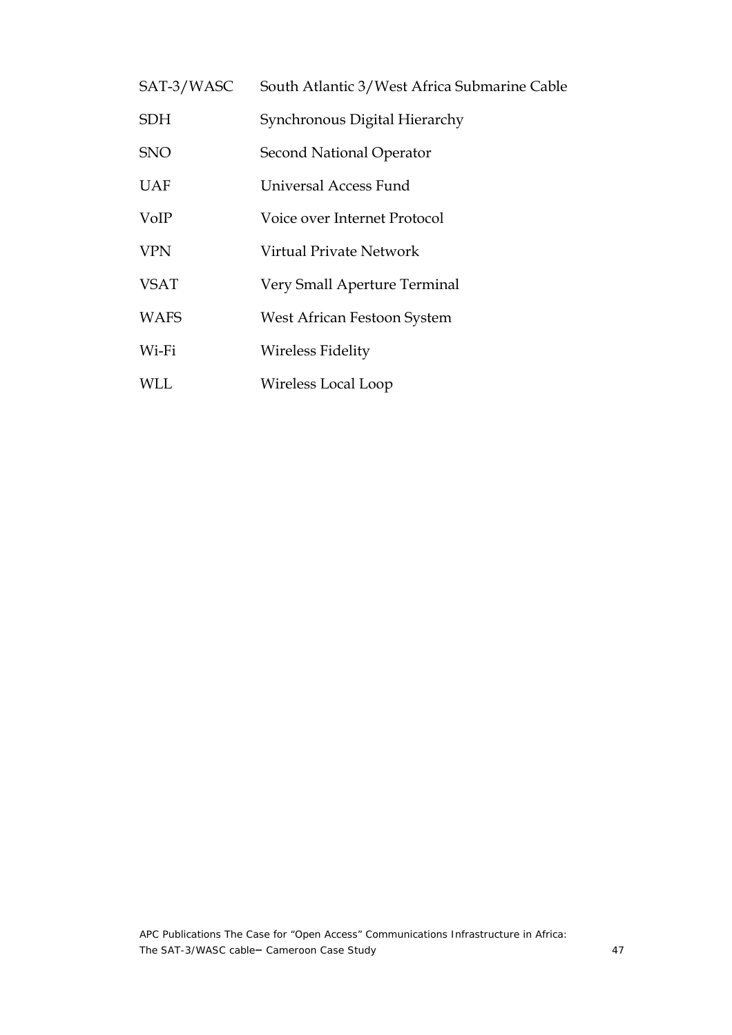| SAT-3/WASC  | South Atlantic 3/West Africa Submarine Cable |
|-------------|----------------------------------------------|
| <b>SDH</b>  | Synchronous Digital Hierarchy                |
| <b>SNO</b>  | Second National Operator                     |
| <b>UAF</b>  | Universal Access Fund                        |
| VoIP        | Voice over Internet Protocol                 |
| <b>VPN</b>  | Virtual Private Network                      |
| <b>VSAT</b> | Very Small Aperture Terminal                 |
| <b>WAFS</b> | West African Festoon System                  |
| Wi-Fi       | Wireless Fidelity                            |
| WLL         | Wireless Local Loop                          |